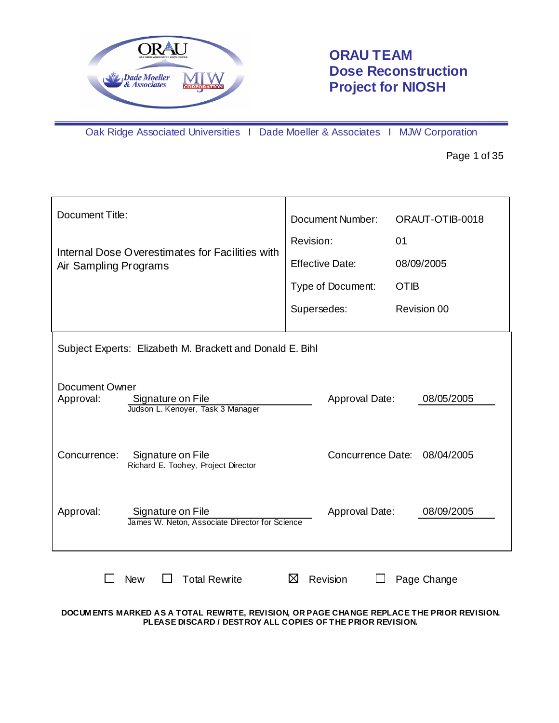

# **ORAU TEAM Dose Reconstruction Project for NIOSH**

Oak Ridge Associated Universities I Dade Moeller & Associates I MJW Corporation

Page 1 of 35

| Document Title:                                                                       | <b>Document Number:</b> | ORAUT-OTIB-0018              |
|---------------------------------------------------------------------------------------|-------------------------|------------------------------|
| Internal Dose Overestimates for Facilities with                                       | Revision:               | 01                           |
| Air Sampling Programs                                                                 | <b>Effective Date:</b>  | 08/09/2005                   |
|                                                                                       | Type of Document:       | <b>OTIB</b>                  |
|                                                                                       | Supersedes:             | Revision 00                  |
| Subject Experts: Elizabeth M. Brackett and Donald E. Bihl                             |                         |                              |
| Document Owner<br>Approval:<br>Signature on File<br>Judson L. Kenoyer, Task 3 Manager | Approval Date:          | 08/05/2005                   |
| Concurrence:<br>Signature on File<br>Richard E. Toohey, Project Director              |                         | Concurrence Date: 08/04/2005 |
| Approval:<br>Signature on File<br>James W. Neton, Associate Director for Science      | Approval Date:          | 08/09/2005                   |
| <b>Total Rewrite</b><br><b>New</b>                                                    | Revision<br>⋈           | Page Change                  |

**DOCUM ENTS MARKED AS A TOTAL REWRITE, REVISION, OR PAGE CHANGE REPLACE THE PRIOR REVISION. PLEASE DISCARD / DESTROY ALL COPIES OF THE PRIOR REVISION.**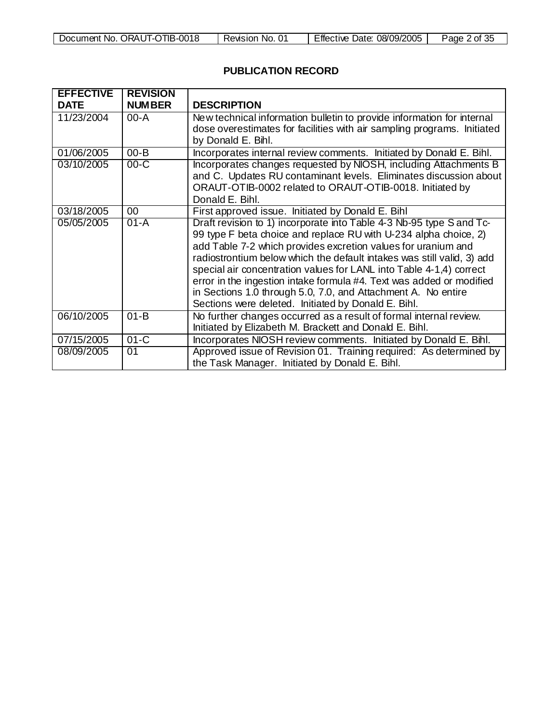| Document No. ORAUT-OTIB-0018 | Revision No. | Effective Date: 08/09/2005 | Page 2 of 3ం |
|------------------------------|--------------|----------------------------|--------------|

Г

# **PUBLICATION RECORD**

| <b>EFFECTIVE</b> | <b>REVISION</b> |                                                                                                                                                                                                                                                                                                                                                                                                                                                                                                                                                            |
|------------------|-----------------|------------------------------------------------------------------------------------------------------------------------------------------------------------------------------------------------------------------------------------------------------------------------------------------------------------------------------------------------------------------------------------------------------------------------------------------------------------------------------------------------------------------------------------------------------------|
| <b>DATE</b>      | <b>NUMBER</b>   | <b>DESCRIPTION</b>                                                                                                                                                                                                                                                                                                                                                                                                                                                                                                                                         |
| 11/23/2004       | $00 - A$        | New technical information bulletin to provide information for internal<br>dose overestimates for facilities with air sampling programs. Initiated<br>by Donald E. Bihl.                                                                                                                                                                                                                                                                                                                                                                                    |
| 01/06/2005       | $00 - B$        | Incorporates internal review comments. Initiated by Donald E. Bihl.                                                                                                                                                                                                                                                                                                                                                                                                                                                                                        |
| 03/10/2005       | $00-C$          | Incorporates changes requested by NIOSH, including Attachments B<br>and C. Updates RU contaminant levels. Eliminates discussion about<br>ORAUT-OTIB-0002 related to ORAUT-OTIB-0018. Initiated by<br>Donald E. Bihl.                                                                                                                                                                                                                                                                                                                                       |
| 03/18/2005       | 00              | First approved issue. Initiated by Donald E. Bihl                                                                                                                                                                                                                                                                                                                                                                                                                                                                                                          |
| 05/05/2005       | $01 - A$        | Draft revision to 1) incorporate into Table 4-3 Nb-95 type S and Tc-<br>99 type F beta choice and replace RU with U-234 alpha choice, 2)<br>add Table 7-2 which provides excretion values for uranium and<br>radiostrontium below which the default intakes was still valid, 3) add<br>special air concentration values for LANL into Table 4-1,4) correct<br>error in the ingestion intake formula #4. Text was added or modified<br>in Sections 1.0 through 5.0, 7.0, and Attachment A. No entire<br>Sections were deleted. Initiated by Donald E. Bihl. |
| 06/10/2005       | $01 - B$        | No further changes occurred as a result of formal internal review.<br>Initiated by Elizabeth M. Brackett and Donald E. Bihl.                                                                                                                                                                                                                                                                                                                                                                                                                               |
| 07/15/2005       | $01-C$          | Incorporates NIOSH review comments. Initiated by Donald E. Bihl.                                                                                                                                                                                                                                                                                                                                                                                                                                                                                           |
| 08/09/2005       | 01              | Approved issue of Revision 01. Training required: As determined by<br>the Task Manager. Initiated by Donald E. Bihl.                                                                                                                                                                                                                                                                                                                                                                                                                                       |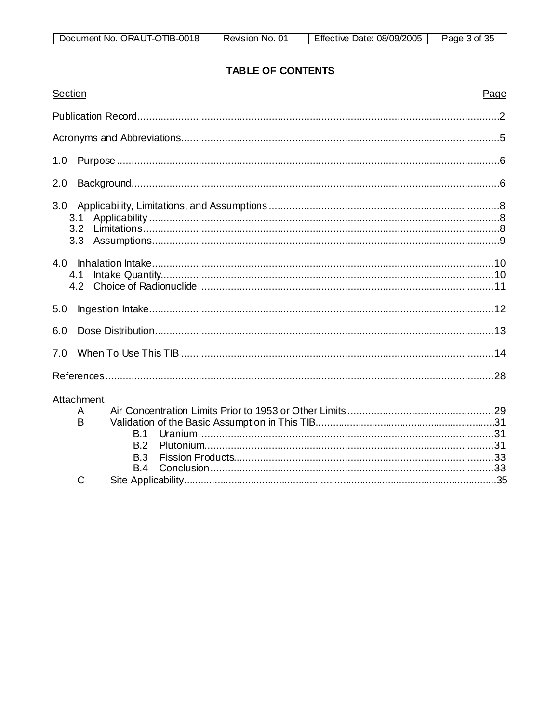| Document No. ORAUT-OTIB-0018 | Revision No. | 08/09/2005<br>Effective<br>Date: | Page 3 of 3J |
|------------------------------|--------------|----------------------------------|--------------|

# **TABLE OF CONTENTS**

| Section                                          | Page |
|--------------------------------------------------|------|
|                                                  |      |
|                                                  |      |
| 1.0                                              |      |
| 2.0                                              |      |
| 3.0<br>3.1<br>3.2 <sub>2</sub><br>3.3            |      |
| 4.1<br>4.2                                       |      |
| 5.0                                              |      |
| 6.0                                              |      |
| 7.0                                              |      |
|                                                  |      |
| Attachment<br>A<br>B<br>B.1<br>B.2<br>B.3<br>B.4 |      |
| Ć                                                |      |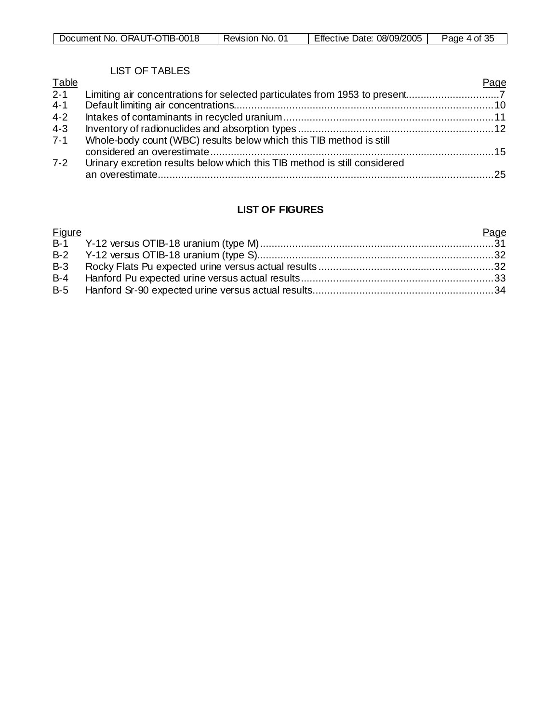| ORAUT-OTIB-0018<br>Document No. | 0 <sup>1</sup><br>No.<br>Revision | 08/09/2005<br>Effective<br>Date: | つん<br>Page<br>n of<br>ູບປ |
|---------------------------------|-----------------------------------|----------------------------------|---------------------------|

# LIST OF TABLES

| <b>Table</b> |                                                                           | Page |
|--------------|---------------------------------------------------------------------------|------|
| $2 - 1$      |                                                                           |      |
| $4 - 1$      |                                                                           |      |
| $4 - 2$      |                                                                           |      |
| $4 - 3$      |                                                                           |      |
| $7 - 1$      | Whole-body count (WBC) results below which this TIB method is still       |      |
|              |                                                                           |      |
| $7 - 2$      | Urinary excretion results below which this TIB method is still considered |      |
|              |                                                                           |      |

# **LIST OF FIGURES**

| <b>Figure</b> | Page |
|---------------|------|
|               |      |
|               |      |
|               |      |
|               |      |
|               |      |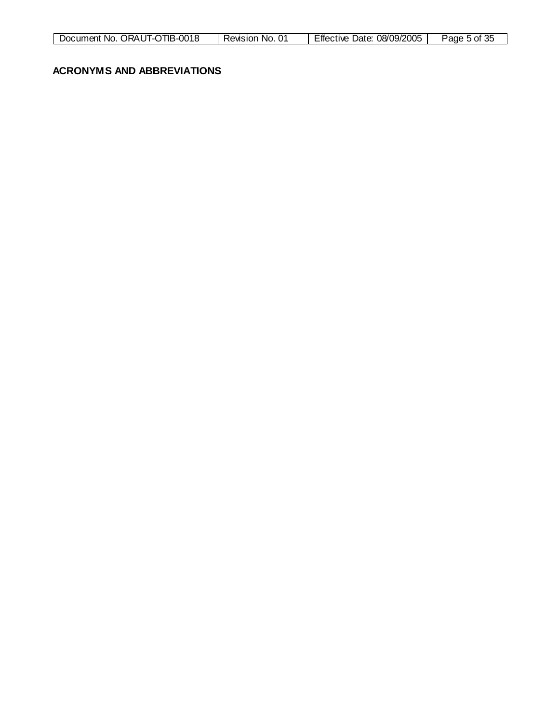| ORAUT-OT<br>OTIB-0018<br>Document No. | 01<br>No.<br>Revision | 08/09/2005<br>Date:<br>Effective | Page<br>$\cdot$ of 35 |
|---------------------------------------|-----------------------|----------------------------------|-----------------------|
|                                       |                       |                                  |                       |

#### **ACRONYMS AND ABBREVIATIONS**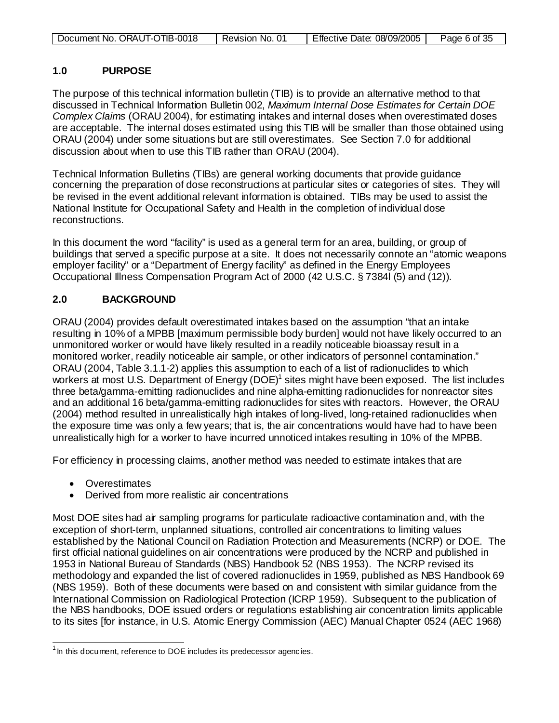| Document No. ORAUT-OTIB-0018 | Revision No. 01 | Effective Date: 08/09/2005 | Page 6 of 35 |
|------------------------------|-----------------|----------------------------|--------------|

#### **1.0 PURPOSE**

The purpose of this technical information bulletin (TIB) is to provide an alternative method to that discussed in Technical Information Bulletin 002, *Maximum Internal Dose Estimates for Certain DOE Complex Claims* (ORAU 2004), for estimating intakes and internal doses when overestimated doses are acceptable. The internal doses estimated using this TIB will be smaller than those obtained using ORAU (2004) under some situations but are still overestimates. See Section 7.0 for additional discussion about when to use this TIB rather than ORAU (2004).

Technical Information Bulletins (TIBs) are general working documents that provide guidance concerning the preparation of dose reconstructions at particular sites or categories of sites. They will be revised in the event additional relevant information is obtained. TIBs may be used to assist the National Institute for Occupational Safety and Health in the completion of individual dose reconstructions.

In this document the word "facility" is used as a general term for an area, building, or group of buildings that served a specific purpose at a site. It does not necessarily connote an "atomic weapons employer facility" or a "Department of Energy facility" as defined in the Energy Employees Occupational Illness Compensation Program Act of 2000 (42 U.S.C. § 7384l (5) and (12)).

# **2.0 BACKGROUND**

ORAU (2004) provides default overestimated intakes based on the assumption "that an intake resulting in 10% of a MPBB [maximum permissible body burden] would not have likely occurred to an unmonitored worker or would have likely resulted in a readily noticeable bioassay result in a monitored worker, readily noticeable air sample, or other indicators of personnel contamination." ORAU (2004, Table 3.1.1-2) applies this assumption to each of a list of radionuclides to which workers at most U.S. Department of Energy (DOE)<sup>1</sup> sites might have been exposed. The list includes three beta/gamma-emitting radionuclides and nine alpha-emitting radionuclides for nonreactor sites and an additional 16 beta/gamma-emitting radionuclides for sites with reactors. However, the ORAU (2004) method resulted in unrealistically high intakes of long-lived, long-retained radionuclides when the exposure time was only a few years; that is, the air concentrations would have had to have been unrealistically high for a worker to have incurred unnoticed intakes resulting in 10% of the MPBB.

For efficiency in processing claims, another method was needed to estimate intakes that are

- Overestimates
- Derived from more realistic air concentrations

Most DOE sites had air sampling programs for particulate radioactive contamination and, with the exception of short-term, unplanned situations, controlled air concentrations to limiting values established by the National Council on Radiation Protection and Measurements (NCRP) or DOE. The first official national guidelines on air concentrations were produced by the NCRP and published in 1953 in National Bureau of Standards (NBS) Handbook 52 (NBS 1953). The NCRP revised its methodology and expanded the list of covered radionuclides in 1959, published as NBS Handbook 69 (NBS 1959). Both of these documents were based on and consistent with similar guidance from the International Commission on Radiological Protection (ICRP 1959). Subsequent to the publication of the NBS handbooks, DOE issued orders or regulations establishing air concentration limits applicable to its sites [for instance, in U.S. Atomic Energy Commission (AEC) Manual Chapter 0524 (AEC 1968)

<span id="page-5-0"></span><sup>1&</sup>lt;br><sup>1</sup> In this document, reference to DOE includes its predecessor agencies.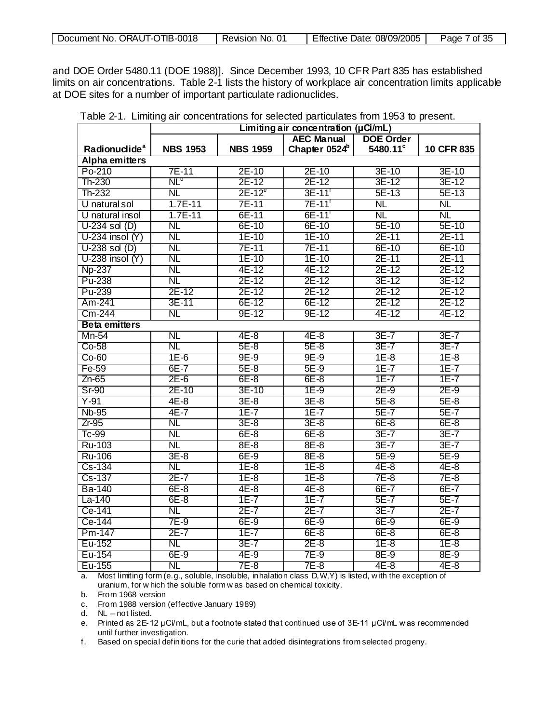| . ORAUT-OTIB-0018<br>Document No. | Revision<br>No. | 08/09/2005<br>∃ffective<br>Date: | of 35<br>Page |
|-----------------------------------|-----------------|----------------------------------|---------------|
|-----------------------------------|-----------------|----------------------------------|---------------|

and DOE Order 5480.11 (DOE 1988)]. Since December 1993, 10 CFR Part 835 has established limits on air concentrations. Table 2-1 lists the history of workplace air concentration limits applicable at DOE sites for a number of important particulate radionuclides.

|                           | Limiting air concentration $(\mu$ Ci/mL) |                 |                           |                  |            |
|---------------------------|------------------------------------------|-----------------|---------------------------|------------------|------------|
|                           |                                          |                 | <b>AEC Manual</b>         | <b>DOE Order</b> |            |
| Radionuclide <sup>a</sup> | <b>NBS 1953</b>                          | <b>NBS 1959</b> | Chapter 0524 <sup>b</sup> | 5480.11°         | 10 CFR 835 |
| Alpha emitters            |                                          |                 |                           |                  |            |
| Po-210                    | 7E-11                                    | 2E-10           | 2E-10                     | 3E-10            | 3E-10      |
| Th-230                    | $\mathsf{NL}^\mathsf{a}$                 | 2E-12           | 2E-12                     | 3E-12            | 3E-12      |
| Th-232                    | NL                                       | $2E-12^e$       | 3E-11                     | 5E-13            | 5E-13      |
| U natural sol             | 1.7E-11                                  | 7E-11           | 7E-11'                    | NL               | NL         |
| U natural insol           | 1.7E-11                                  | 6E-11           | 6E-11'                    | ΝL               | NL         |
| $U-234$ sol $(D)$         | <b>NL</b>                                | 6E-10           | 6E-10                     | 5E-10            | 5E-10      |
| $U-234$ insol $(Y)$       | <b>NL</b>                                | 1E-10           | 1E-10                     | 2E-11            | 2E-11      |
| $U-238$ sol $(D)$         | NL                                       | 7E-11           | 7E-11                     | 6E-10            | 6E-10      |
| $U-238$ insol $(Y)$       | <b>NL</b>                                | 1E-10           | 1E-10                     | 2E-11            | 2E-11      |
| <b>Np-237</b>             | NL                                       | 4E-12           | 4E-12                     | 2E-12            | 2E-12      |
| Pu-238                    | NL                                       | 2E-12           | 2E-12                     | 3E-12            | 3E-12      |
| Pu-239                    | 2E-12                                    | 2E-12           | 2E-12                     | 2E-12            | 2E-12      |
| Am-241                    | 3E-11                                    | 6E-12           | 6E-12                     | 2E-12            | 2E-12      |
| Cm-244                    | NL                                       | 9E-12           | 9E-12                     | 4E-12            | 4E-12      |
| <b>Beta emitters</b>      |                                          |                 |                           |                  |            |
| Mn-54                     | NL                                       | $4E-8$          | 4E-8                      | $3E-7$           | $3E-7$     |
| $Co-58$                   | NL                                       | $5E-8$          | $5E-8$                    | $3E-7$           | $3E-7$     |
| $Co-60$                   | $1E-6$                                   | $9E-9$          | $9E-9$                    | $1E-8$           | 1E-8       |
| Fe-59                     | $6E-7$                                   | 5E-8            | $5E-9$                    | $1E-7$           | 1E-7       |
| Zn-65                     | $2E-6$                                   | 6E-8            | 6E-8                      | $1E-7$           | $1E-7$     |
| <b>Sr-90</b>              | 2E-10                                    | 3E-10           | $1E-9$                    | $2E-9$           | $2E-9$     |
| Y-91                      | $4E-8$                                   | $3E-8$          | $3E-8$                    | $5E-8$           | $5E-8$     |
| <b>Nb-95</b>              | $4E-7$                                   | $1E-7$          | $1E-7$                    | $5E-7$           | 5E-7       |
| $Zr-95$                   | NL                                       | $3E-8$          | $3E-8$                    | $6E-8$           | $6E-8$     |
| Tc-99                     | <b>NL</b>                                | 6E-8            | 6E-8                      | $3E-7$           | $3E-7$     |
| Ru-103                    | NL                                       | 8E-8            | 8E-8                      | $3E-7$           | $3E-7$     |
| <b>Ru-106</b>             | $3E-8$                                   | 6E-9            | 8E-8                      | 5E-9             | 5E-9       |
| Cs-134                    | NL                                       | $1E-8$          | $1E-8$                    | 4E-8             | 4E-8       |
| Cs-137                    | $2E-7$                                   | $1E-8$          | $1E-8$                    | 7E-8             | 7E-8       |
| Ba-140                    | $6E-8$                                   | 4E-8            | 4E-8                      | $6E-7$           | $6E-7$     |
| La-140                    | $6E-8$                                   | $1E-7$          | $1E-7$                    | 5E-7             | $5E-7$     |
| Ce-141                    | <b>NL</b>                                | $2E-7$          | $2E-7$                    | $3E-7$           | $2E-7$     |
| Ce-144                    | 7E-9                                     | 6E-9            | 6E-9                      | 6E-9             | $6E-9$     |
| Pm-147                    | $2E-7$                                   | $1E-7$          | 6E-8                      | 6E-8             | 6E-8       |
| Eu-152                    | NL                                       | $3E-7$          | $2E-8$                    | $1E-8$           | $1E-8$     |
| Eu-154                    | $6E-9$                                   | 4E-9            | 7E-9                      | 8E-9             | 8E-9       |
| Eu-155                    | <b>NL</b>                                | 7E-8            | 7E-8                      | 4E-8             | 4E-8       |

Table 2-1. Limiting air concentrations for selected particulates from 1953 to present.

a. Most limiting form (e.g., soluble, insoluble, inhalation class D,W,Y) is listed, w ith the exception of uranium, for w hich the soluble form w as based on chemical toxicity.

b. From 1968 version

c. From 1988 version (effective January 1989)

d. NL – not listed.

e. Printed as 2E-12 μCi/mL, but a footnote stated that continued use of 3E-11 μCi/mL w as recommended until further investigation.

f. Based on special definitions for the curie that added disintegrations from selected progeny.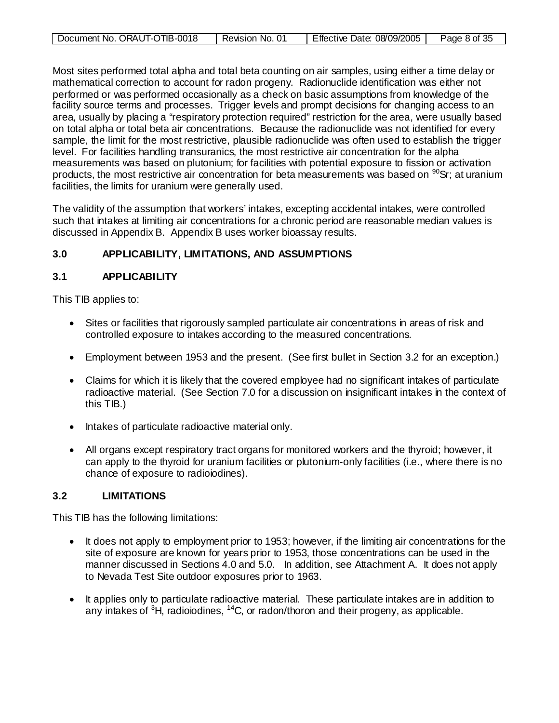| Document No. ORAUT-OTIB-0018 | .ი<br>Revision No. | .08/09/2005<br>Effective<br>Date: | Page 8 of 35 |
|------------------------------|--------------------|-----------------------------------|--------------|
|                              |                    |                                   |              |

Most sites performed total alpha and total beta counting on air samples, using either a time delay or mathematical correction to account for radon progeny. Radionuclide identification was either not performed or was performed occasionally as a check on basic assumptions from knowledge of the facility source terms and processes. Trigger levels and prompt decisions for changing access to an area, usually by placing a "respiratory protection required" restriction for the area, were usually based on total alpha or total beta air concentrations. Because the radionuclide was not identified for every sample, the limit for the most restrictive, plausible radionuclide was often used to establish the trigger level. For facilities handling transuranics, the most restrictive air concentration for the alpha measurements was based on plutonium; for facilities with potential exposure to fission or activation products, the most restrictive air concentration for beta measurements was based on  $90$ Sr; at uranium facilities, the limits for uranium were generally used.

The validity of the assumption that workers' intakes, excepting accidental intakes, were controlled such that intakes at limiting air concentrations for a chronic period are reasonable median values is discussed in Appendix B. Appendix B uses worker bioassay results.

# **3.0 APPLICABILITY, LIMITATIONS, AND ASSUMPTIONS**

#### **3.1 APPLICABILITY**

This TIB applies to:

- Sites or facilities that rigorously sampled particulate air concentrations in areas of risk and controlled exposure to intakes according to the measured concentrations.
- Employment between 1953 and the present. (See first bullet in Section 3.2 for an exception.)
- Claims for which it is likely that the covered employee had no significant intakes of particulate radioactive material. (See Section 7.0 for a discussion on insignificant intakes in the context of this TIB.)
- Intakes of particulate radioactive material only.
- All organs except respiratory tract organs for monitored workers and the thyroid; however, it can apply to the thyroid for uranium facilities or plutonium-only facilities (i.e., where there is no chance of exposure to radioiodines).

#### **3.2 LIMITATIONS**

This TIB has the following limitations:

- It does not apply to employment prior to 1953; however, if the limiting air concentrations for the site of exposure are known for years prior to 1953, those concentrations can be used in the manner discussed in Sections 4.0 and 5.0. In addition, see Attachment A. It does not apply to Nevada Test Site outdoor exposures prior to 1963.
- It applies only to particulate radioactive material. These particulate intakes are in addition to any intakes of <sup>3</sup>H, radioiodines, <sup>14</sup>C, or radon/thoron and their progeny, as applicable.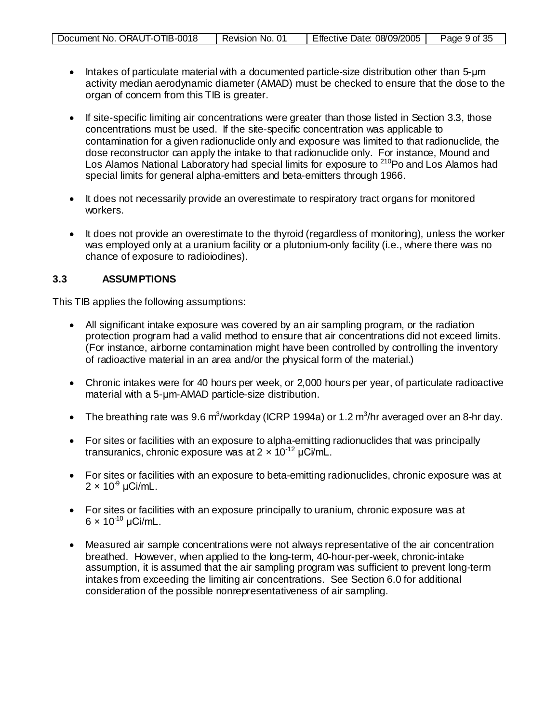| Document No. ORAUT-OTIB-0018 | Revision No. | Effective Date: 08/09/2005 | Page 9 of 35 |
|------------------------------|--------------|----------------------------|--------------|
|                              |              |                            |              |

- Intakes of particulate material with a documented particle-size distribution other than 5-μm activity median aerodynamic diameter (AMAD) must be checked to ensure that the dose to the organ of concern from this TIB is greater.
- If site-specific limiting air concentrations were greater than those listed in Section 3.3, those concentrations must be used. If the site-specific concentration was applicable to contamination for a given radionuclide only and exposure was limited to that radionuclide, the dose reconstructor can apply the intake to that radionuclide only. For instance, Mound and Los Alamos National Laboratory had special limits for exposure to <sup>210</sup>Po and Los Alamos had special limits for general alpha-emitters and beta-emitters through 1966.
- It does not necessarily provide an overestimate to respiratory tract organs for monitored workers.
- It does not provide an overestimate to the thyroid (regardless of monitoring), unless the worker was employed only at a uranium facility or a plutonium-only facility (i.e., where there was no chance of exposure to radioiodines).

#### **3.3 ASSUMPTIONS**

This TIB applies the following assumptions:

- All significant intake exposure was covered by an air sampling program, or the radiation protection program had a valid method to ensure that air concentrations did not exceed limits. (For instance, airborne contamination might have been controlled by controlling the inventory of radioactive material in an area and/or the physical form of the material.)
- Chronic intakes were for 40 hours per week, or 2,000 hours per year, of particulate radioactive material with a 5-μm-AMAD particle-size distribution.
- The breathing rate was  $9.6 \text{ m}^3$ /workday (ICRP 1994a) or 1.2 m<sup>3</sup>/hr averaged over an 8-hr day.
- For sites or facilities with an exposure to alpha-emitting radionuclides that was principally transuranics, chronic exposure was at  $2 \times 10^{-12}$  µCi/mL.
- For sites or facilities with an exposure to beta-emitting radionuclides, chronic exposure was at  $2 \times 10^9$  µCi/mL.
- For sites or facilities with an exposure principally to uranium, chronic exposure was at  $6 \times 10^{-10}$  µCi/mL.
- Measured air sample concentrations were not always representative of the air concentration breathed. However, when applied to the long-term, 40-hour-per-week, chronic-intake assumption, it is assumed that the air sampling program was sufficient to prevent long-term intakes from exceeding the limiting air concentrations. See Section 6.0 for additional consideration of the possible nonrepresentativeness of air sampling.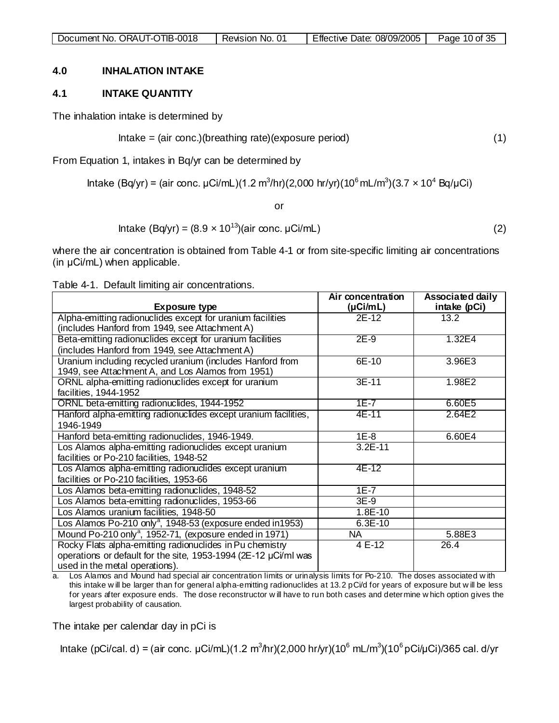#### **4.0 INHALATION INTAKE**

#### **4.1 INTAKE QUANTITY**

The inhalation intake is determined by

Intake = (air conc.)(breathing rate)(exposure period)  $(1)$ 

From Equation 1, intakes in Bq/yr can be determined by

Intake (Bq/yr) = (air conc. μCi/mL)(1.2 m<sup>3</sup>/hr)(2,000 hr/yr)(10<sup>6</sup> mL/m<sup>3</sup>)(3.7 x 10<sup>4</sup> Bq/μCi)

or

Intake  $(Bq/yr) = (8.9 \times 10^{13})(air \text{ conc. }\mu\text{Ci/mL})$  (2)

where the air concentration is obtained from Table 4-1 or from site-specific limiting air concentrations (in μCi/mL) when applicable.

Table 4-1. Default limiting air concentrations.

|                                                                                                                | Air concentration        | <b>Associated daily</b> |
|----------------------------------------------------------------------------------------------------------------|--------------------------|-------------------------|
| <b>Exposure type</b>                                                                                           | $(\mu$ Ci/mL)            | intake (pCi)            |
| Alpha-emitting radionuclides except for uranium facilities                                                     | $2E-12$                  | 13.2                    |
| (includes Hanford from 1949, see Attachment A)                                                                 |                          |                         |
| Beta-emitting radionuclides except for uranium facilities                                                      | $2E-9$                   | 1.32E4                  |
| (includes Hanford from 1949, see Attachment A)                                                                 |                          |                         |
| Uranium including recycled uranium (includes Hanford from<br>1949, see Attachment A, and Los Alamos from 1951) | 6E-10                    | 3.96E3                  |
| ORNL alpha-emitting radionuclides except for uranium                                                           | $3E-11$                  | 1.98E2                  |
| facilities, 1944-1952                                                                                          |                          |                         |
| ORNL beta-emitting radionuclides, 1944-1952                                                                    | $1E - 7$                 | 6.60E5                  |
| Hanford alpha-emitting radionuclides except uranium facilities,                                                | 4E-11                    | 2.64E2                  |
| 1946-1949                                                                                                      |                          |                         |
| Hanford beta-emitting radionuclides, 1946-1949.                                                                | $1E-8$                   | 6.60E4                  |
| Los Alamos alpha-emitting radionuclides except uranium                                                         | $3.2E-11$                |                         |
| facilities or Po-210 facilities, 1948-52                                                                       |                          |                         |
| Los Alamos alpha-emitting radionuclides except uranium                                                         | 4E-12                    |                         |
| facilities or Po-210 facilities, 1953-66                                                                       |                          |                         |
| Los Alamos beta-emitting radionuclides, 1948-52                                                                | $1E-7$                   |                         |
| Los Alamos beta-emitting radionuclides, 1953-66                                                                | $3E-9$                   |                         |
| Los Alamos uranium facilities, 1948-50                                                                         | $1.8E-10$                |                         |
| Los Alamos Po-210 only <sup>a</sup> , 1948-53 (exposure ended in1953)                                          | $6.3E-10$                |                         |
| Mound Po-210 only <sup>a</sup> , 1952-71, (exposure ended in 1971)                                             | $\overline{\mathsf{NA}}$ | 5.88E3                  |
| Rocky Flats alpha-emitting radionuclides in Pu chemistry                                                       | $4E-12$                  | 26.4                    |
| operations or default for the site, 1953-1994 (2E-12 µCi/ml was                                                |                          |                         |
| used in the metal operations).                                                                                 |                          |                         |

a. Los Alamos and Mound had special air concentration limits or urinalysis limits for Po-210. The doses associated w ith this intake w ill be larger than for general alpha-emitting radionuclides at 13.2 pCi/d for years of exposure but w ill be less for years after exposure ends. The dose reconstructor w ill have to run both cases and determine w hich option gives the largest probability of causation.

The intake per calendar day in pCi is

Intake (pCi/cal. d) = (air conc. μCi/mL)(1.2 m<sup>3</sup>/hr)(2,000 hr/yr)(10<sup>6</sup> mL/m<sup>3</sup>)(10<sup>6</sup> pCi/μCi)/365 cal. d/yr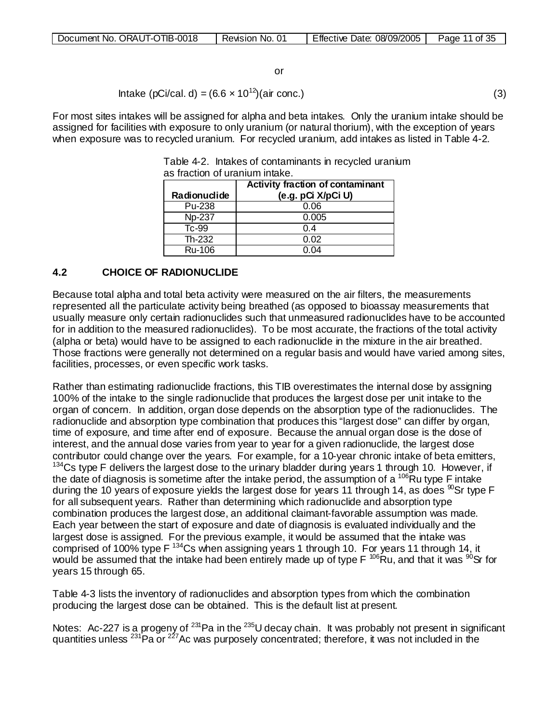| Document No. ORAUT-OTIB-0018 | Revision No. | Effective<br>08/09/2005<br>Date: | of 35<br>Page |
|------------------------------|--------------|----------------------------------|---------------|
|------------------------------|--------------|----------------------------------|---------------|

Intake (pCi/cal. d) =  $(6.6 \times 10^{12})$ (air conc.) (3)

For most sites intakes will be assigned for alpha and beta intakes. Only the uranium intake should be assigned for facilities with exposure to only uranium (or natural thorium), with the exception of years when exposure was to recycled uranium. For recycled uranium, add intakes as listed in Table 4-2.

|              | <b>Activity fraction of contaminant</b> |
|--------------|-----------------------------------------|
| Radionuclide | (e.g. pCi X/pCi U)                      |
| Pu-238       | 0.06                                    |
| Np-237       | 0.005                                   |
| Tc-99        | 0.4                                     |
| Th-232       | 0.02                                    |
| Ru-106       | በ በ4                                    |

Table 4-2. Intakes of contaminants in recycled uranium as fraction of uranium intake.

#### **4.2 CHOICE OF RADIONUCLIDE**

Because total alpha and total beta activity were measured on the air filters, the measurements represented all the particulate activity being breathed (as opposed to bioassay measurements that usually measure only certain radionuclides such that unmeasured radionuclides have to be accounted for in addition to the measured radionuclides). To be most accurate, the fractions of the total activity (alpha or beta) would have to be assigned to each radionuclide in the mixture in the air breathed. Those fractions were generally not determined on a regular basis and would have varied among sites, facilities, processes, or even specific work tasks.

Rather than estimating radionuclide fractions, this TIB overestimates the internal dose by assigning 100% of the intake to the single radionuclide that produces the largest dose per unit intake to the organ of concern. In addition, organ dose depends on the absorption type of the radionuclides. The radionuclide and absorption type combination that produces this "largest dose" can differ by organ, time of exposure, and time after end of exposure. Because the annual organ dose is the dose of interest, and the annual dose varies from year to year for a given radionuclide, the largest dose contributor could change over the years. For example, for a 10-year chronic intake of beta emitters,  $134$ Cs type F delivers the largest dose to the urinary bladder during years 1 through 10. However, if the date of diagnosis is sometime after the intake period, the assumption of a  $^{106}$ Ru type F intake during the 10 years of exposure yields the largest dose for years 11 through 14, as does  $\mathrm{^{80}Sr}$  type F for all subsequent years. Rather than determining which radionuclide and absorption type combination produces the largest dose, an additional claimant-favorable assumption was made. Each year between the start of exposure and date of diagnosis is evaluated individually and the largest dose is assigned. For the previous example, it would be assumed that the intake was comprised of 100% type F 134Cs when assigning years 1 through 10. For years 11 through 14, it would be assumed that the intake had been entirely made up of type F <sup>106</sup>Ru, and that it was <sup>90</sup>Sr for years 15 through 65.

Table 4-3 lists the inventory of radionuclides and absorption types from which the combination producing the largest dose can be obtained. This is the default list at present.

Notes: Ac-227 is a progeny of <sup>231</sup>Pa in the <sup>235</sup>U decay chain. It was probably not present in significant quantities unless <sup>231</sup>Pa or <sup>227</sup>Ac was purposely concentrated; therefore, it was not included in the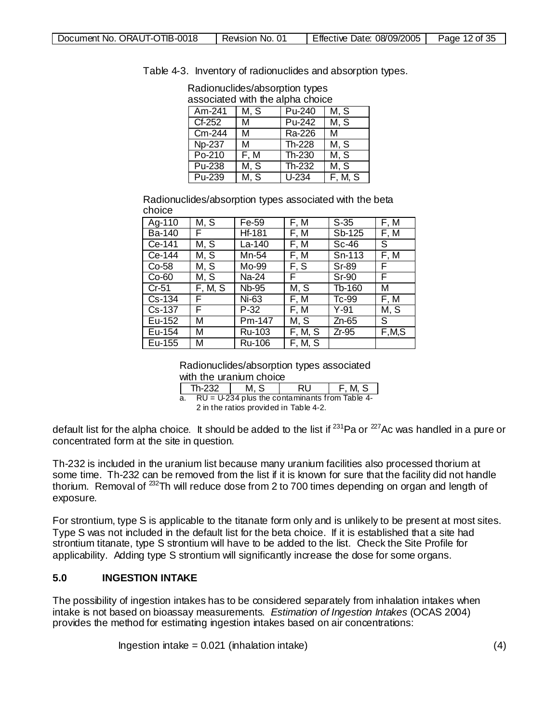associated with the alpha choice<br>TAm-241 TM, S TTPu-240 TM Am-241 | M, S | Pu-240 | M, S<br>Cf-252 | M | Pu-242 | M, S M Pu-242 M, S Cm-244 M Ra-226 M<br>No-237 M Th-228 M Np-237 M Th-228 M, S<br>Po-210 F, M Th-230 M, S  $Po-210$  | F, M | Th-230 Pu-238 M, S Th-232 M, S<br>Pu-239 M, S U-234 F, M, M, S | U-234 | F, M, S

Table 4-3. Inventory of radionuclides and absorption types. Radionuclides/absorption types

Radionuclides/absorption types associated with the beta choice

| Ag-110        | M, S    | Fe-59  | F, M    | $S-35$  | F, M    |
|---------------|---------|--------|---------|---------|---------|
| <b>Ba-140</b> | F.      | Hf-181 | F, M    | Sb-125  | F, M    |
| Ce-141        | M, S    | La-140 | F, M    | $Sc-46$ | S       |
| Ce-144        | M, S    | Mn-54  | F, M    | Sn-113  | F, M    |
| Co-58         | M, S    | Mo-99  | F, S    | Sr-89   | F       |
| $Co-60$       | M, S    | Na-24  | F.      | Sr-90   | F       |
| $Cr-51$       | F, M, S | Nb-95  | M, S    | Tb-160  | М       |
| Cs-134        | F       | Ni-63  | F, M    | Tc-99   | F, M    |
| Cs-137        | F       | P-32   | F, M    | Y-91    | M, S    |
| Eu-152        | М       | Pm-147 | M, S    | Zn-65   | S       |
| Eu-154        | М       | Ru-103 | F, M, S | $Zr-95$ | F, M, S |
| Eu-155        | м       | Ru-106 | F, M, S |         |         |

Radionuclides/absorption types associated

with the uranium choice

 $Th-232$   $M, S$   $RU$   $F, M, S$ 

a. RU = U-234 plus the contaminants from Table 4-

2 in the ratios provided in Table 4-2.

default list for the alpha choice. It should be added to the list if  $^{231}$ Pa or  $^{227}$ Ac was handled in a pure or concentrated form at the site in question.

Th-232 is included in the uranium list because many uranium facilities also processed thorium at some time. Th-232 can be removed from the list if it is known for sure that the facility did not handle thorium. Removal of  $^{232}$ Th will reduce dose from 2 to 700 times depending on organ and length of exposure.

For strontium, type S is applicable to the titanate form only and is unlikely to be present at most sites. Type S was not included in the default list for the beta choice. If it is established that a site had strontium titanate, type S strontium will have to be added to the list. Check the Site Profile for applicability. Adding type S strontium will significantly increase the dose for some organs.

# **5.0 INGESTION INTAKE**

The possibility of ingestion intakes has to be considered separately from inhalation intakes when intake is not based on bioassay measurements. *Estimation of Ingestion Intakes* (OCAS 2004) provides the method for estimating ingestion intakes based on air concentrations:

Ingestion intake  $= 0.021$  (inhalation intake) (4)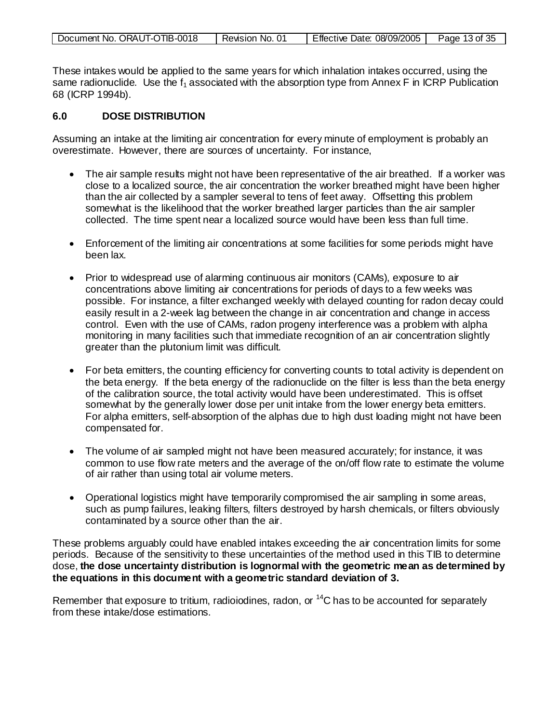| Document No. ORAUT-OTIB-0018 | Revision No. 01 | Effective Date: 08/09/2005 | Page 13 of 35 |
|------------------------------|-----------------|----------------------------|---------------|

These intakes would be applied to the same years for which inhalation intakes occurred, using the same radionuclide. Use the  $f_1$  associated with the absorption type from Annex F in ICRP Publication 68 (ICRP 1994b).

#### **6.0 DOSE DISTRIBUTION**

Assuming an intake at the limiting air concentration for every minute of employment is probably an overestimate. However, there are sources of uncertainty. For instance,

- The air sample results might not have been representative of the air breathed. If a worker was close to a localized source, the air concentration the worker breathed might have been higher than the air collected by a sampler several to tens of feet away. Offsetting this problem somewhat is the likelihood that the worker breathed larger particles than the air sampler collected. The time spent near a localized source would have been less than full time.
- Enforcement of the limiting air concentrations at some facilities for some periods might have been lax.
- Prior to widespread use of alarming continuous air monitors (CAMs), exposure to air concentrations above limiting air concentrations for periods of days to a few weeks was possible. For instance, a filter exchanged weekly with delayed counting for radon decay could easily result in a 2-week lag between the change in air concentration and change in access control. Even with the use of CAMs, radon progeny interference was a problem with alpha monitoring in many facilities such that immediate recognition of an air concentration slightly greater than the plutonium limit was difficult.
- For beta emitters, the counting efficiency for converting counts to total activity is dependent on the beta energy. If the beta energy of the radionuclide on the filter is less than the beta energy of the calibration source, the total activity would have been underestimated. This is offset somewhat by the generally lower dose per unit intake from the lower energy beta emitters. For alpha emitters, self-absorption of the alphas due to high dust loading might not have been compensated for.
- The volume of air sampled might not have been measured accurately; for instance, it was common to use flow rate meters and the average of the on/off flow rate to estimate the volume of air rather than using total air volume meters.
- Operational logistics might have temporarily compromised the air sampling in some areas, such as pump failures, leaking filters, filters destroyed by harsh chemicals, or filters obviously contaminated by a source other than the air.

These problems arguably could have enabled intakes exceeding the air concentration limits for some periods. Because of the sensitivity to these uncertainties of the method used in this TIB to determine dose, **the dose uncertainty distribution is lognormal with the geometric mean as determined by the equations in this document with a geometric standard deviation of 3.**

Remember that exposure to tritium, radioiodines, radon, or  $^{14}$ C has to be accounted for separately from these intake/dose estimations.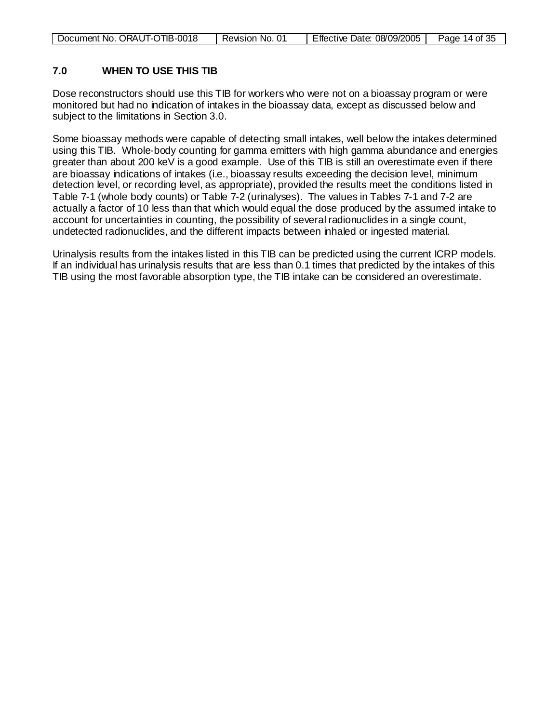| Document No. ORAUT-OTIB-0018 | Revision No. 01 | Effective Date: 08/09/2005 | Page 14 of 35 |
|------------------------------|-----------------|----------------------------|---------------|

#### **7.0 WHEN TO USE THIS TIB**

Dose reconstructors should use this TIB for workers who were not on a bioassay program or were monitored but had no indication of intakes in the bioassay data, except as discussed below and subject to the limitations in Section 3.0.

Some bioassay methods were capable of detecting small intakes, well below the intakes determined using this TIB. Whole-body counting for gamma emitters with high gamma abundance and energies greater than about 200 keV is a good example. Use of this TIB is still an overestimate even if there are bioassay indications of intakes (i.e., bioassay results exceeding the decision level, minimum detection level, or recording level, as appropriate), provided the results meet the conditions listed in Table 7-1 (whole body counts) or Table 7-2 (urinalyses). The values in Tables 7-1 and 7-2 are actually a factor of 10 less than that which would equal the dose produced by the assumed intake to account for uncertainties in counting, the possibility of several radionuclides in a single count, undetected radionuclides, and the different impacts between inhaled or ingested material.

Urinalysis results from the intakes listed in this TIB can be predicted using the current ICRP models. If an individual has urinalysis results that are less than 0.1 times that predicted by the intakes of this TIB using the most favorable absorption type, the TIB intake can be considered an overestimate.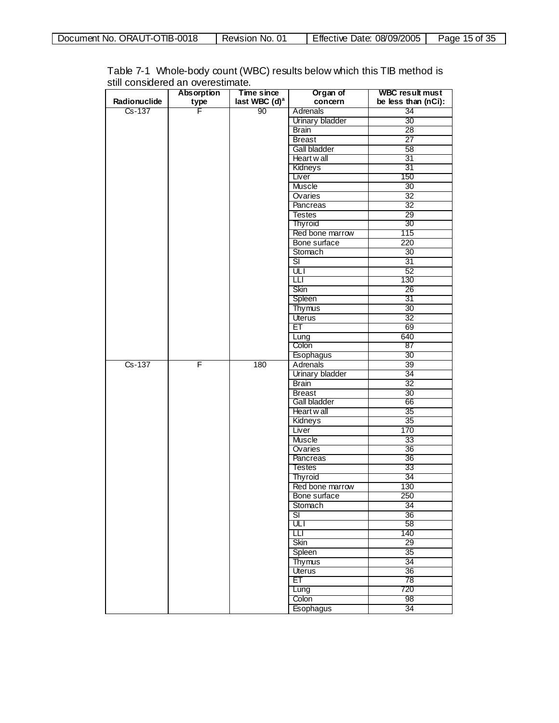| Document No. ORAUT-OTIB-0018 | Revision No. 01 | Effective Date: 08/09/2005 | Page 15 of 35 |
|------------------------------|-----------------|----------------------------|---------------|
|------------------------------|-----------------|----------------------------|---------------|

|              | <b>Absorption</b> | Time since                | Organ of               | <b>WBC result must</b> |
|--------------|-------------------|---------------------------|------------------------|------------------------|
| Radionuclide | type              | last WBC (d) <sup>a</sup> | concern                | be less than (nCi):    |
| Cs-137       | F                 | 90                        | Adrenals               | 34                     |
|              |                   |                           | Urinary bladder        | 30                     |
|              |                   |                           | <b>Brain</b>           | 28                     |
|              |                   |                           | <b>Breast</b>          | $\overline{27}$        |
|              |                   |                           | <b>Gall bladder</b>    | 58                     |
|              |                   |                           | Heart wall             | 31                     |
|              |                   |                           | Kidneys                | 31                     |
|              |                   |                           | Liver                  | 150                    |
|              |                   |                           | Muscle                 | 30                     |
|              |                   |                           | Ovaries                | $\overline{32}$        |
|              |                   |                           | Pancreas               | 32                     |
|              |                   |                           | <b>Testes</b>          | $\overline{29}$        |
|              |                   |                           | <b>Thyroid</b>         | 30                     |
|              |                   |                           | Red bone marrow        | 115                    |
|              |                   |                           | Bone surface           | 220                    |
|              |                   |                           | Stomach                | 30                     |
|              |                   |                           | डा                     | 31                     |
|              |                   |                           | ULI                    | 52                     |
|              |                   |                           | ◫                      | 130                    |
|              |                   |                           | Skin                   | 26                     |
|              |                   |                           |                        | 31                     |
|              |                   |                           | Spleen                 |                        |
|              |                   |                           | <b>Thymus</b>          | 30                     |
|              |                   |                           | Uterus                 | $\overline{32}$        |
|              |                   |                           | ЕT                     | 69                     |
|              |                   |                           | Lung                   | 640                    |
|              |                   |                           | Colon                  | 87                     |
|              |                   |                           | Esophagus              | 30                     |
| $Cs - 137$   | F                 | 180                       | Adrenals               | 39                     |
|              |                   |                           | <b>Urinary bladder</b> | $\overline{34}$        |
|              |                   |                           | <b>Brain</b>           | $\overline{32}$        |
|              |                   |                           | <b>Breast</b>          | 30                     |
|              |                   |                           | Gall bladder           | 66                     |
|              |                   |                           | Heart w all            | 35                     |
|              |                   |                           | Kidneys                | 35                     |
|              |                   |                           | Liver                  | 170                    |
|              |                   |                           | <b>Muscle</b>          | 33                     |
|              |                   |                           | Ovaries                | 36                     |
|              |                   |                           | Pancreas               | 36                     |
|              |                   |                           | <b>Testes</b>          | 33                     |
|              |                   |                           | <b>Thyroid</b>         | 34                     |
|              |                   |                           | Red bone marrow        | 130                    |
|              |                   |                           | Bone surface           | 250                    |
|              |                   |                           | Stomach                | 34                     |
|              |                   |                           | डा                     | 36                     |
|              |                   |                           | ULI                    | 58                     |
|              |                   |                           | Ш                      | 140                    |
|              |                   |                           | Skin                   | 29                     |
|              |                   |                           | Spleen                 | 35                     |
|              |                   |                           | <b>Thymus</b>          | 34                     |
|              |                   |                           | <b>Uterus</b>          | 36                     |
|              |                   |                           | EТ                     | 78                     |
|              |                   |                           | Lung                   | 720                    |
|              |                   |                           | Colon                  | 98                     |
|              |                   |                           | <b>Esophagus</b>       | 34                     |

Table 7-1 Whole-body count (WBC) results below which this TIB method is still considered an overestimate.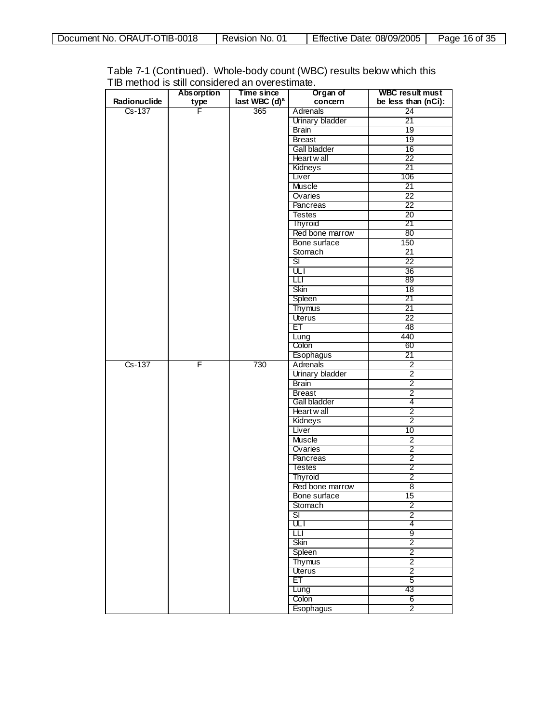| Document No. ORAUT-OTIB-0018 | Revision No. 01 | Effective Date: 08/09/2005 | Page 16 of 35 |
|------------------------------|-----------------|----------------------------|---------------|
|------------------------------|-----------------|----------------------------|---------------|

|              | <b>Absorption</b> | Time since       | Organ of                 | <b>WBC result must</b> |
|--------------|-------------------|------------------|--------------------------|------------------------|
| Radionuclide | type              | last WBC $(d)^a$ | concern                  | be less than (nCi):    |
| Cs-137       | F                 | 365              | Adrenals                 | 24                     |
|              |                   |                  | Urinary bladder          | 21                     |
|              |                   |                  | <b>Brain</b>             | 19                     |
|              |                   |                  | <b>Breast</b>            | 19                     |
|              |                   |                  | <b>Gall bladder</b>      | 16                     |
|              |                   |                  | Heart wall               | 22                     |
|              |                   |                  | Kidneys                  | 21                     |
|              |                   |                  | Liver                    | 106                    |
|              |                   |                  | <b>Muscle</b>            | 21                     |
|              |                   |                  | Ovaries                  | $\overline{22}$        |
|              |                   |                  |                          | $\overline{22}$        |
|              |                   |                  | Pancreas                 |                        |
|              |                   |                  | <b>Testes</b>            | $\overline{20}$<br>21  |
|              |                   |                  | <b>Thyroid</b>           |                        |
|              |                   |                  | Red bone marrow          | 80                     |
|              |                   |                  | Bone surface             | 150                    |
|              |                   |                  | Stomach                  | 21                     |
|              |                   |                  | डा                       | $\overline{22}$        |
|              |                   |                  | $\overline{\mathsf{u}}$  | $\overline{36}$        |
|              |                   |                  | Ш                        | 89                     |
|              |                   |                  | Skin                     | 18                     |
|              |                   |                  | Spleen                   | 21                     |
|              |                   |                  | <b>Thymus</b>            | $\overline{21}$        |
|              |                   |                  | Uterus                   | 22                     |
|              |                   |                  | ET                       | 48                     |
|              |                   |                  | Lung                     | 440                    |
|              |                   |                  | Colon                    | 60                     |
|              |                   |                  | Esophagus                | 21                     |
| $Cs - 137$   | F                 | 730              | <b>Adrenals</b>          | $\overline{2}$         |
|              |                   |                  | <b>Urinary bladder</b>   | $\overline{2}$         |
|              |                   |                  | <b>Brain</b>             | 2                      |
|              |                   |                  | <b>Breast</b>            | $\overline{2}$         |
|              |                   |                  | Gall bladder             | 4                      |
|              |                   |                  | Heart w all              | $\overline{2}$         |
|              |                   |                  | Kidneys                  | $\overline{2}$         |
|              |                   |                  | Liver                    | 10                     |
|              |                   |                  | <b>Muscle</b>            | $\overline{2}$         |
|              |                   |                  | Ovaries                  | 2                      |
|              |                   |                  | Pancreas                 | 2                      |
|              |                   |                  | <b>Testes</b>            | $\overline{2}$         |
|              |                   |                  | Thyroid                  | $\overline{2}$         |
|              |                   |                  | Red bone marrow          | $\overline{8}$         |
|              |                   |                  | Bone surface             | 15                     |
|              |                   |                  | Stomach                  | $\overline{2}$         |
|              |                   |                  | $\overline{\mathsf{SI}}$ |                        |
|              |                   |                  | ULT                      | $\overline{2}$<br>4    |
|              |                   |                  | Ш                        | 9                      |
|              |                   |                  |                          |                        |
|              |                   |                  | Skin                     | $\overline{2}$         |
|              |                   |                  | Spleen                   | $\overline{2}$         |
|              |                   |                  | <b>Thymus</b>            | $\overline{2}$         |
|              |                   |                  | <b>Uterus</b>            | 2                      |
|              |                   |                  | EТ                       | 5                      |
|              |                   |                  | Lung                     | 43                     |
|              |                   |                  | Colon                    | 6                      |
|              |                   |                  | Esophagus                | $\overline{2}$         |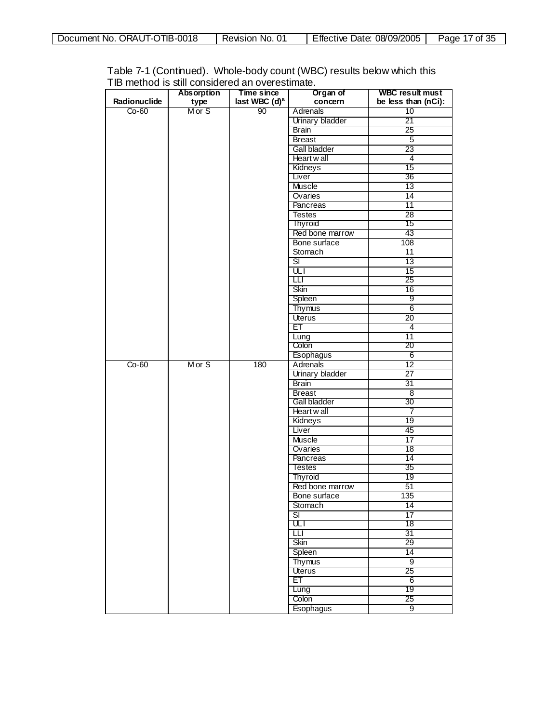| Document No. ORAUT-OTIB-0018 | Revision No. 01 | Effective Date: 08/09/2005 | Page 17 of 35 |
|------------------------------|-----------------|----------------------------|---------------|
|------------------------------|-----------------|----------------------------|---------------|

|              | <b>THE THOMAGE TO OMIT CONTOIGON OG CATT OVOI COMITION</b><br>Absorption | Time since                | Organ of         | <b>WBC result must</b> |
|--------------|--------------------------------------------------------------------------|---------------------------|------------------|------------------------|
| Radionuclide | type                                                                     | last WBC (d) <sup>a</sup> | concern          | be less than (nCi):    |
| $Co-60$      | Mor S                                                                    | 90                        | Adrenals         | 10                     |
|              |                                                                          |                           | Urinary bladder  | 21                     |
|              |                                                                          |                           | <b>Brain</b>     | 25                     |
|              |                                                                          |                           | <b>Breast</b>    | $\overline{5}$         |
|              |                                                                          |                           | Gall bladder     | 23                     |
|              |                                                                          |                           |                  |                        |
|              |                                                                          |                           | Heart wall       | 4<br>15                |
|              |                                                                          |                           | Kidneys          |                        |
|              |                                                                          |                           | Liver            | 36                     |
|              |                                                                          |                           | <b>Muscle</b>    | 13                     |
|              |                                                                          |                           | Ovaries          | 14                     |
|              |                                                                          |                           | Pancreas         | $\overline{11}$        |
|              |                                                                          |                           | <b>Testes</b>    | $\overline{28}$        |
|              |                                                                          |                           | Thyroid          | 15                     |
|              |                                                                          |                           | Red bone marrow  | 43                     |
|              |                                                                          |                           | Bone surface     | 108                    |
|              |                                                                          |                           | Stomach          | $\overline{11}$        |
|              |                                                                          |                           | डा               | 13                     |
|              |                                                                          |                           | ULI              | $\overline{15}$        |
|              |                                                                          |                           | ◫                | 25                     |
|              |                                                                          |                           | Skin             | 16                     |
|              |                                                                          |                           | Spleen           | 9                      |
|              |                                                                          |                           | <b>Thymus</b>    | 6                      |
|              |                                                                          |                           | Uterus           | 20                     |
|              |                                                                          |                           | ET               | 4                      |
|              |                                                                          |                           | Lung             | $\overline{11}$        |
|              |                                                                          |                           | Colon            | 20                     |
|              |                                                                          |                           | Esophagus        | 6                      |
| $Co-60$      | Mor S                                                                    | 180                       | <b>Adrenals</b>  | $\overline{12}$        |
|              |                                                                          |                           | Urinary bladder  | $\overline{27}$        |
|              |                                                                          |                           | <b>Brain</b>     | 31                     |
|              |                                                                          |                           | <b>Breast</b>    | 8                      |
|              |                                                                          |                           | Gall bladder     | 30                     |
|              |                                                                          |                           | Heart w all      | 7                      |
|              |                                                                          |                           | Kidneys          | 19                     |
|              |                                                                          |                           |                  | 45                     |
|              |                                                                          |                           | Liver            |                        |
|              |                                                                          |                           | <b>Muscle</b>    | 17                     |
|              |                                                                          |                           | Ovaries          | $\overline{18}$        |
|              |                                                                          |                           | Pancreas         | 14                     |
|              |                                                                          |                           | <b>Testes</b>    | 35                     |
|              |                                                                          |                           | <b>Thyroid</b>   | 19                     |
|              |                                                                          |                           | Red bone marrow  | 51                     |
|              |                                                                          |                           | Bone surface     | 135                    |
|              |                                                                          |                           | Stomach          | 14                     |
|              |                                                                          |                           | डा               | $\overline{17}$        |
|              |                                                                          |                           | ULT              | 18                     |
|              |                                                                          |                           | Ш                | 31                     |
|              |                                                                          |                           | Skin             | 29                     |
|              |                                                                          |                           | Spleen           | 14                     |
|              |                                                                          |                           | <b>Thymus</b>    | $\overline{9}$         |
|              |                                                                          |                           | <b>Uterus</b>    | 25                     |
|              |                                                                          |                           | EТ               | 6                      |
|              |                                                                          |                           | Lung             | 19                     |
|              |                                                                          |                           | Colon            | 25                     |
|              |                                                                          |                           | <b>Esophagus</b> | $\overline{9}$         |
|              |                                                                          |                           |                  |                        |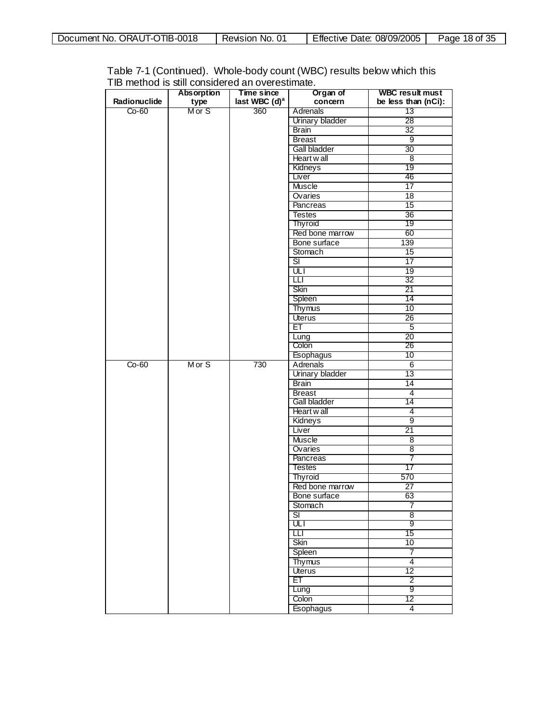| Document No. ORAUT-OTIB-0018 | Revision No. 01 | Effective Date: 08/09/2005 | Page 18 of 35 |
|------------------------------|-----------------|----------------------------|---------------|
|------------------------------|-----------------|----------------------------|---------------|

|              | <b>Absorption</b> | Time since                | Organ of                 | <b>WBC result must</b> |
|--------------|-------------------|---------------------------|--------------------------|------------------------|
| Radionuclide | type              | last WBC (d) <sup>a</sup> | concern                  | be less than (nCi):    |
| $Co-60$      | M or S            | 360                       | Adrenals                 | 13                     |
|              |                   |                           | Urinary bladder          | 28                     |
|              |                   |                           | Brain                    | $\overline{32}$        |
|              |                   |                           | <b>Breast</b>            | $\overline{9}$         |
|              |                   |                           | Gall bladder             | 30                     |
|              |                   |                           | Heart wall               | 8                      |
|              |                   |                           | Kidneys                  | 19                     |
|              |                   |                           | Liver                    | 46                     |
|              |                   |                           | Muscle                   | 17                     |
|              |                   |                           | Ovaries                  | $\overline{18}$        |
|              |                   |                           | Pancreas                 | 15                     |
|              |                   |                           | <b>Testes</b>            | $\overline{36}$        |
|              |                   |                           | <b>Thyroid</b>           | 19                     |
|              |                   |                           | Red bone marrow          | 60                     |
|              |                   |                           | Bone surface             | 139                    |
|              |                   |                           |                          |                        |
|              |                   |                           | Stomach                  | 15                     |
|              |                   |                           | $\overline{\mathbf{s}}$  | $\overline{17}$        |
|              |                   |                           | $\overline{UL}$          | 19                     |
|              |                   |                           | Ш                        | 32                     |
|              |                   |                           | Skin                     | 21                     |
|              |                   |                           | Spleen                   | 14                     |
|              |                   |                           | <b>Thymus</b>            | 10                     |
|              |                   |                           | <b>Uterus</b>            | 26                     |
|              |                   |                           | ET                       | $\overline{5}$         |
|              |                   |                           | Lung                     | $\overline{20}$        |
|              |                   |                           | Colon                    | 26                     |
|              |                   |                           | Esophagus                | 10                     |
| $Co-60$      | Mor S             | 730                       | Adrenals                 | $6\overline{6}$        |
|              |                   |                           | <b>Urinary bladder</b>   | $\overline{13}$        |
|              |                   |                           | Brain                    | 14                     |
|              |                   |                           | <b>Breast</b>            | 4                      |
|              |                   |                           | Gall bladder             | 14                     |
|              |                   |                           | Heart w all              | 4                      |
|              |                   |                           | Kidneys                  | 9                      |
|              |                   |                           | Liver                    | 21                     |
|              |                   |                           | <b>Muscle</b>            | 8                      |
|              |                   |                           | Ovaries                  | 8                      |
|              |                   |                           | Pancreas                 | 7                      |
|              |                   |                           | <b>Testes</b>            | 17                     |
|              |                   |                           | Thyroid                  | 570                    |
|              |                   |                           | Red bone marrow          | 27                     |
|              |                   |                           | Bone surface             | 63                     |
|              |                   |                           | Stomach                  | 7                      |
|              |                   |                           | $\overline{\mathsf{SI}}$ | 8                      |
|              |                   |                           | ULT                      | 9                      |
|              |                   |                           | Ш                        | 15                     |
|              |                   |                           | Skin                     | 10                     |
|              |                   |                           | Spleen                   | 7                      |
|              |                   |                           | <b>Thymus</b>            | $\overline{4}$         |
|              |                   |                           | <b>Uterus</b>            | 12                     |
|              |                   |                           | ET                       | 2                      |
|              |                   |                           |                          | 9                      |
|              |                   |                           | Lung<br>Colon            | 12                     |
|              |                   |                           |                          |                        |
|              |                   |                           | <b>Esophagus</b>         | $\overline{4}$         |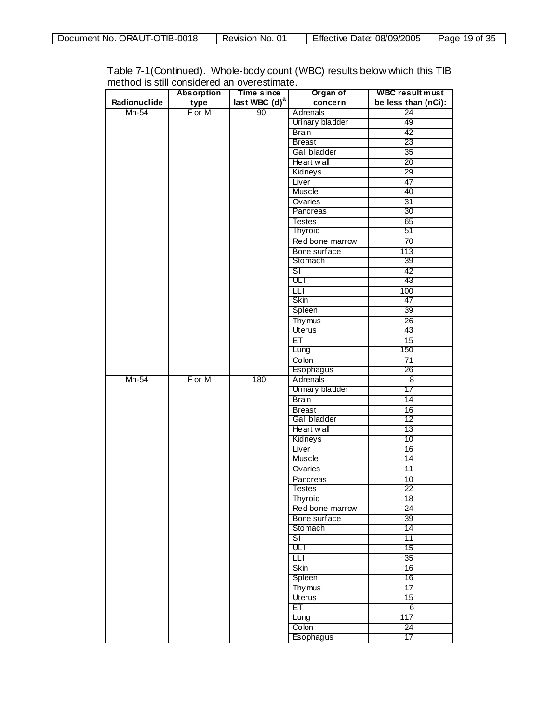| Document No. ORAUT-OTIB-0018 | Revision No. 01 | <b>Effective Date: 08/09/2005</b> | Page 19 of 35 |
|------------------------------|-----------------|-----------------------------------|---------------|
|------------------------------|-----------------|-----------------------------------|---------------|

|              | <b>Absorption</b> | Time since         | Organ of                 | <b>WBC result must</b>  |
|--------------|-------------------|--------------------|--------------------------|-------------------------|
| Radionuclide | type              | last WBC $(d)^{a}$ | concern                  | be less than (nCi):     |
| $Mn-54$      | F or M            | 90                 | <b>Adrenals</b>          | $\overline{24}$         |
|              |                   |                    | Urinary bladder          | 49                      |
|              |                   |                    | <b>Brain</b>             | 42                      |
|              |                   |                    | <b>Breast</b>            | 23                      |
|              |                   |                    | Gall bladder             | 35                      |
|              |                   |                    | Heart wall               | 20                      |
|              |                   |                    | Kidneys                  | $\overline{29}$         |
|              |                   |                    | Liver                    | $\overline{47}$         |
|              |                   |                    | Muscle                   | 40                      |
|              |                   |                    | Ovaries                  | 31                      |
|              |                   |                    | Pancreas                 | 30                      |
|              |                   |                    | <b>Testes</b>            | 65                      |
|              |                   |                    | Thyroid                  | 51                      |
|              |                   |                    | Red bone marrow          | $\overline{70}$         |
|              |                   |                    | Bone surface             | 113                     |
|              |                   |                    | Stomach                  | 39                      |
|              |                   |                    | $\overline{\mathsf{SI}}$ | $\overline{42}$         |
|              |                   |                    | ULI                      | 43                      |
|              |                   |                    | Ш                        | 100                     |
|              |                   |                    | Skin                     | 47                      |
|              |                   |                    | Spleen                   | 39                      |
|              |                   |                    | Thy mus                  | $\overline{26}$         |
|              |                   |                    | <b>Uterus</b>            | 43                      |
|              |                   |                    | ET                       | 15                      |
|              |                   |                    | Lung                     | 150                     |
|              |                   |                    | Colon                    | $\overline{71}$         |
|              |                   |                    | Esophagus                | 26                      |
| $Mn-54$      | F or M            | 180                | <b>Adrenals</b>          | $\overline{\mathbf{8}}$ |
|              |                   |                    | Urinary bladder          | 17                      |
|              |                   |                    | <b>Brain</b>             | 14                      |
|              |                   |                    | <b>Breast</b>            | 16                      |
|              |                   |                    | Gall bladder             | 12                      |
|              |                   |                    | Heart wall               | 13                      |
|              |                   |                    | Kidneys                  | 10                      |
|              |                   |                    | Liver                    | 16                      |
|              |                   |                    | Muscle                   | 14                      |
|              |                   |                    | Ovaries                  | $\overline{11}$         |
|              |                   |                    | Pancreas                 | 10                      |
|              |                   |                    | <b>Testes</b>            | $\overline{22}$         |
|              |                   |                    | Thyroid                  | 18                      |
|              |                   |                    | Red bone marrow          | 24                      |
|              |                   |                    | Bone surface             | 39                      |
|              |                   |                    | Stomach                  | 14                      |
|              |                   |                    | SΙ                       | 11                      |
|              |                   |                    | ULT                      | 15                      |
|              |                   |                    | Ш                        | 35                      |
|              |                   |                    | Skin                     | 16                      |
|              |                   |                    | Spleen                   | 16                      |
|              |                   |                    | Thy mus                  | 17                      |
|              |                   |                    | Uterus                   | 15                      |
|              |                   |                    | ET                       | $6\overline{6}$         |
|              |                   |                    | Lung                     | 117                     |
|              |                   |                    | Colon                    | $\overline{24}$         |
|              |                   |                    | Esophagus                | 17                      |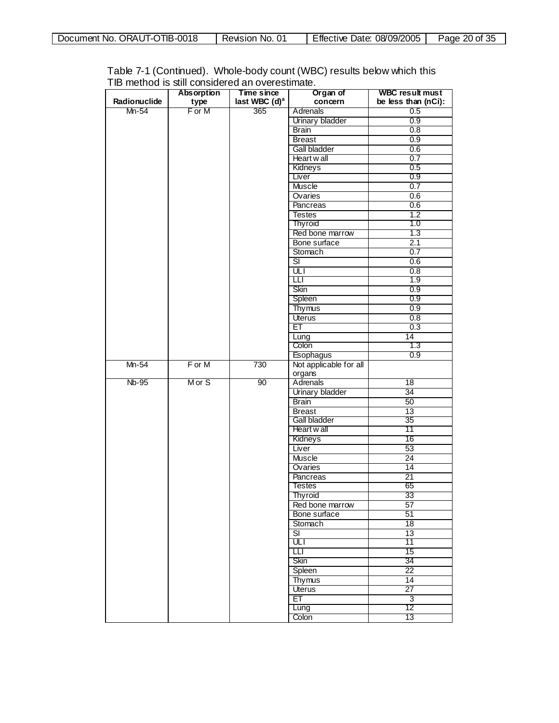| Document No. ORAUT-OTIB-0018 | Revision No. 01 | Effective Date: 08/09/2005 | Page 20 of 35 |
|------------------------------|-----------------|----------------------------|---------------|
|------------------------------|-----------------|----------------------------|---------------|

|              | <b>Absorption</b> | Time since       | Organ of                 | <b>WBC result must</b> |
|--------------|-------------------|------------------|--------------------------|------------------------|
| Radionuclide | type              | last WBC $(d)^a$ | concern                  | be less than (nCi):    |
| Mn-54        | F or M            | 365              | Adrenals                 | 0.5                    |
|              |                   |                  | Urinary bladder          | 0.9                    |
|              |                   |                  |                          |                        |
|              |                   |                  | <b>Brain</b>             | 0.8                    |
|              |                   |                  | <b>Breast</b>            | 0.9                    |
|              |                   |                  | <b>Gall bladder</b>      | 0.6                    |
|              |                   |                  | Heart wall               | 0.7                    |
|              |                   |                  | Kidneys                  | 0.5                    |
|              |                   |                  | Liver                    | 0.9                    |
|              |                   |                  | <b>Muscle</b>            | 0.7                    |
|              |                   |                  | Ovaries                  | 0.6                    |
|              |                   |                  | Pancreas                 | 0.6                    |
|              |                   |                  | <b>Testes</b>            | 1.2                    |
|              |                   |                  | Thyroid                  | 1.0                    |
|              |                   |                  | Red bone marrow          | 1.3                    |
|              |                   |                  | Bone surface             | 2.1                    |
|              |                   |                  | Stomach                  | 0.7                    |
|              |                   |                  | डा                       | 0.6                    |
|              |                   |                  | ULI                      | 0.8                    |
|              |                   |                  | ◫                        | 1.9                    |
|              |                   |                  | Skin                     | 0.9                    |
|              |                   |                  | Spleen                   | 0.9                    |
|              |                   |                  | Thymus                   | 0.9                    |
|              |                   |                  |                          | 0.8                    |
|              |                   |                  | Uterus<br>ET             |                        |
|              |                   |                  |                          | 0.3                    |
|              |                   |                  | Lung                     | $\overline{14}$        |
|              |                   |                  | Colon                    | 1.3                    |
| Mn-54        | F or M            | 730              | Esophagus                | 0.9                    |
|              |                   |                  | Not applicable for all   |                        |
| <b>Nb-95</b> | Mor S             | 90               | organs<br>Adrenals       | $\overline{18}$        |
|              |                   |                  |                          | 34                     |
|              |                   |                  | Urinary bladder          |                        |
|              |                   |                  | Brain                    | 50                     |
|              |                   |                  | <b>Breast</b>            | $\overline{13}$        |
|              |                   |                  | Gall bladder             | 35                     |
|              |                   |                  | Heart w all              | 11                     |
|              |                   |                  | Kidneys                  | 16                     |
|              |                   |                  | Liver                    | 53                     |
|              |                   |                  | Muscle                   | 24                     |
|              |                   |                  | Ovaries                  | $\overline{14}$        |
|              |                   |                  | Pancreas                 | $\overline{21}$        |
|              |                   |                  | Testes                   | 65                     |
|              |                   |                  | Thyroid                  | 33                     |
|              |                   |                  | Red bone marrow          | 57                     |
|              |                   |                  | Bone surface             | 51                     |
|              |                   |                  | Stomach                  | 18                     |
|              |                   |                  | $\overline{\mathsf{SI}}$ | 13                     |
|              |                   |                  | णा                       | 11                     |
|              |                   |                  | ╥                        | 15                     |
|              |                   |                  | Skin                     | 34                     |
|              |                   |                  | Spleen                   | $\overline{22}$        |
|              |                   |                  | <b>Thymus</b>            | 14                     |
|              |                   |                  | <b>Uterus</b>            | $\overline{27}$        |
|              |                   |                  | ET                       | $\overline{3}$         |
|              |                   |                  | Lung                     | 12                     |
|              |                   |                  | Colon                    | 13                     |

 $\mathbf l$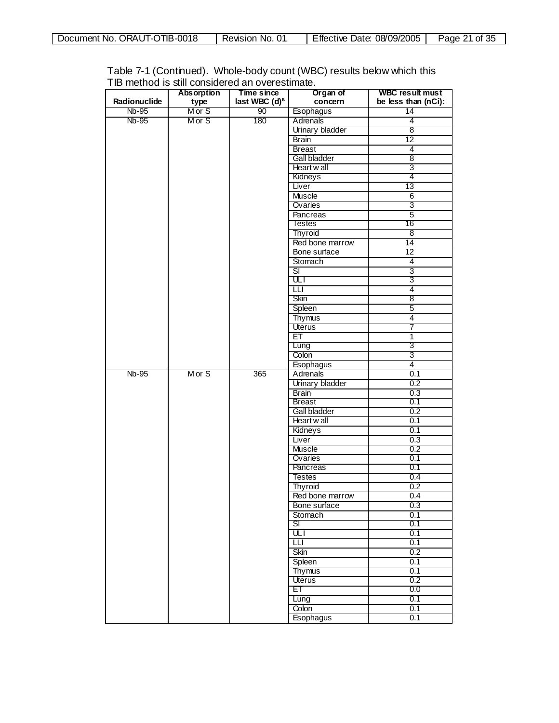|  | Document No. ORAUT-OTIB-0018 | Revision No. 01 | Effective Date: 08/09/2005 | Page 21 of 35 |
|--|------------------------------|-----------------|----------------------------|---------------|
|--|------------------------------|-----------------|----------------------------|---------------|

| Table 7-1 (Continued). Whole-body count (WBC) results below which this |  |
|------------------------------------------------------------------------|--|
| TIB method is still considered an overestimate.                        |  |

|              | <b>Absorption</b> | Time since                | Organ of               | <b>WBC result must</b> |
|--------------|-------------------|---------------------------|------------------------|------------------------|
| Radionuclide | type              | last WBC (d) <sup>a</sup> | concern                | be less than (nCi):    |
| Nb-95        | M or S            | 90                        | Esophagus              | 14                     |
| Nb-95        | M or S            | 180                       | Adrenals               | 4                      |
|              |                   |                           | <b>Urinary bladder</b> | $\overline{8}$         |
|              |                   |                           | <b>Brain</b>           | $\overline{12}$        |
|              |                   |                           | <b>Breast</b>          | 4                      |
|              |                   |                           | Gall bladder           | 8                      |
|              |                   |                           | Heart w all            | 3                      |
|              |                   |                           | Kidneys                | 4                      |
|              |                   |                           | Liver                  | $\overline{13}$        |
|              |                   |                           | <b>Muscle</b>          | $6\overline{6}$        |
|              |                   |                           | Ovaries                | 3                      |
|              |                   |                           | <b>Pancreas</b>        | $\overline{5}$         |
|              |                   |                           | Testes                 | 16                     |
|              |                   |                           | <b>Thyroid</b>         | 8                      |
|              |                   |                           | Red bone marrow        | $\overline{14}$        |
|              |                   |                           | Bone surface           | $\overline{12}$        |
|              |                   |                           | Stomach                | $\overline{4}$         |
|              |                   |                           | डा                     | 3                      |
|              |                   |                           | ULT                    | 3                      |
|              |                   |                           | $\overline{\text{LI}}$ | 4                      |
|              |                   |                           | Skin                   | 8                      |
|              |                   |                           | Spleen                 | 5                      |
|              |                   |                           | <b>Thymus</b>          | 4                      |
|              |                   |                           | Uterus                 | 7                      |
|              |                   |                           | ЕT                     | $\overline{1}$         |
|              |                   |                           | Lung                   | 3                      |
|              |                   |                           | Colon                  | 3                      |
|              |                   |                           | Esophagus              | $\overline{4}$         |
| <b>Nb-95</b> | Mor S             | 365                       | Adrenals               | 0.1                    |
|              |                   |                           | <b>Urinary bladder</b> | 0.2                    |
|              |                   |                           | <b>Brain</b>           | 0.3                    |
|              |                   |                           | <b>Breast</b>          | 0.1                    |
|              |                   |                           | Gall bladder           | 0.2                    |
|              |                   |                           | Heart wall             | 0.1                    |
|              |                   |                           | Kidneys                | 0.1                    |
|              |                   |                           | Liver                  | 0.3                    |
|              |                   |                           | Muscle<br>Ovaries      | 0.2<br>0.1             |
|              |                   |                           | Pancreas               | 0.1                    |
|              |                   |                           | <b>Testes</b>          | 0.4                    |
|              |                   |                           | <b>Thyroid</b>         | 0.2                    |
|              |                   |                           | Red bone marrow        | 0.4                    |
|              |                   |                           | Bone surface           | 0.3                    |
|              |                   |                           | Stomach                | 0.1                    |
|              |                   |                           | SI                     | 0.1                    |
|              |                   |                           | ULI                    | 0.1                    |
|              |                   |                           | ◫                      | 0.1                    |
|              |                   |                           | Skin                   | 0.2                    |
|              |                   |                           | Spleen                 | 0.1                    |
|              |                   |                           | <b>Thymus</b>          | 0.1                    |
|              |                   |                           | Uterus                 | 0.2                    |
|              |                   |                           | ЕT                     | 0.0                    |
|              |                   |                           | Lung                   | 0.1                    |
|              |                   |                           | Colon                  | 0.1                    |
|              |                   |                           | Esophagus              | 0.1                    |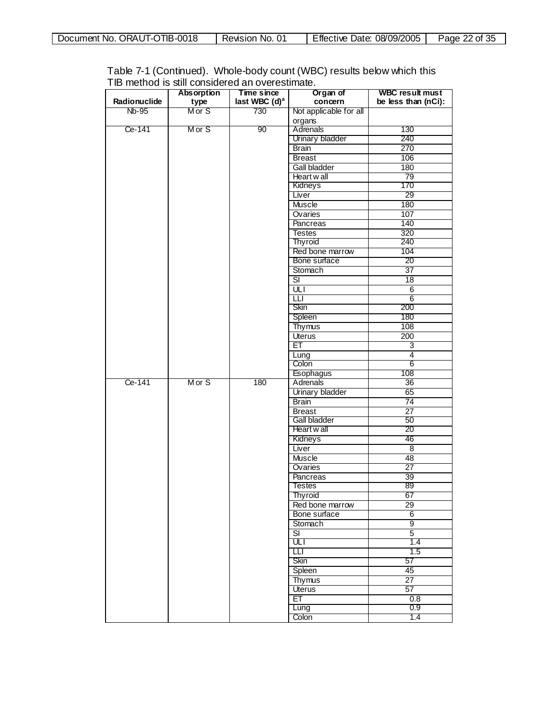| TIB-0018<br>ORAU<br>No.<br><b>Document</b><br>$11 - 0$<br>້ | -01<br>NO.<br>≺evision | Effective<br>08/09/2005<br>Date: | 25<br>Page.<br>Οt<br>u. |
|-------------------------------------------------------------|------------------------|----------------------------------|-------------------------|
|                                                             |                        |                                  |                         |

| Table 7-1 (Continued). Whole-body count (WBC) results below which this |  |
|------------------------------------------------------------------------|--|
| TIB method is still considered an overestimate.                        |  |

| last WBC (d) <sup>a</sup><br>Radionuclide<br>be less than (nCi):<br>concern<br>type<br>Mor S<br>730<br>Nb-95<br>Not applicable for all<br>organs<br>Adrenals<br>Ce-141<br>Mor S<br>90<br>130<br>Urinary bladder<br>240<br><b>Brain</b><br>270<br>106<br><b>Breast</b><br><b>Gall bladder</b><br>180<br>Heart wall<br>79<br>170<br>Kidneys<br>Liver<br>29<br><b>Muscle</b><br>180<br>Ovaries<br>107<br>Pancreas<br>140<br>320<br><b>Testes</b><br>Thyroid<br>240<br>Red bone marrow<br>104<br>Bone surface<br>20<br>$\overline{37}$<br>Stomach<br>डा<br>18<br>ULT<br>6<br>$6\overline{6}$<br>Ш<br>Skin<br>200<br>180<br>Spleen<br>108<br>Thymus<br><b>Uterus</b><br>200<br>ET<br>3<br>4<br>Lung<br>6<br>Colon<br>Esophagus<br>108<br>Ce-141<br>M or S<br>180<br>Adrenals<br>36<br><b>Urinary bladder</b><br>65<br><b>Brain</b><br>74<br>$\overline{27}$<br><b>Breast</b><br>Gall bladder<br>50<br>Heart w all<br>20<br>Kidneys<br>46<br>$\overline{8}$<br>Liver<br>48<br><b>Muscle</b><br>$\overline{27}$<br>Ovaries<br>Pancreas<br>39<br>89<br><b>Testes</b><br>67<br>Thyroid<br>29<br>Red bone marrow<br>$6\overline{6}$<br>Bone surface<br>9<br>Stomach<br>डा<br>$\overline{5}$<br>ULT<br>1.4<br>Ш<br>1.5<br>Skin<br>57<br>Spleen<br>45<br>27<br>Thymus<br>57<br>Uterus<br>ET<br>0.8<br>0.9<br>Lung<br>Colon<br>1.4 | <b>Absorption</b> | Time since | Organ of | <b>WBC result must</b> |
|-----------------------------------------------------------------------------------------------------------------------------------------------------------------------------------------------------------------------------------------------------------------------------------------------------------------------------------------------------------------------------------------------------------------------------------------------------------------------------------------------------------------------------------------------------------------------------------------------------------------------------------------------------------------------------------------------------------------------------------------------------------------------------------------------------------------------------------------------------------------------------------------------------------------------------------------------------------------------------------------------------------------------------------------------------------------------------------------------------------------------------------------------------------------------------------------------------------------------------------------------------------------------------------------------------------------------|-------------------|------------|----------|------------------------|
|                                                                                                                                                                                                                                                                                                                                                                                                                                                                                                                                                                                                                                                                                                                                                                                                                                                                                                                                                                                                                                                                                                                                                                                                                                                                                                                       |                   |            |          |                        |
|                                                                                                                                                                                                                                                                                                                                                                                                                                                                                                                                                                                                                                                                                                                                                                                                                                                                                                                                                                                                                                                                                                                                                                                                                                                                                                                       |                   |            |          |                        |
|                                                                                                                                                                                                                                                                                                                                                                                                                                                                                                                                                                                                                                                                                                                                                                                                                                                                                                                                                                                                                                                                                                                                                                                                                                                                                                                       |                   |            |          |                        |
|                                                                                                                                                                                                                                                                                                                                                                                                                                                                                                                                                                                                                                                                                                                                                                                                                                                                                                                                                                                                                                                                                                                                                                                                                                                                                                                       |                   |            |          |                        |
|                                                                                                                                                                                                                                                                                                                                                                                                                                                                                                                                                                                                                                                                                                                                                                                                                                                                                                                                                                                                                                                                                                                                                                                                                                                                                                                       |                   |            |          |                        |
|                                                                                                                                                                                                                                                                                                                                                                                                                                                                                                                                                                                                                                                                                                                                                                                                                                                                                                                                                                                                                                                                                                                                                                                                                                                                                                                       |                   |            |          |                        |
|                                                                                                                                                                                                                                                                                                                                                                                                                                                                                                                                                                                                                                                                                                                                                                                                                                                                                                                                                                                                                                                                                                                                                                                                                                                                                                                       |                   |            |          |                        |
|                                                                                                                                                                                                                                                                                                                                                                                                                                                                                                                                                                                                                                                                                                                                                                                                                                                                                                                                                                                                                                                                                                                                                                                                                                                                                                                       |                   |            |          |                        |
|                                                                                                                                                                                                                                                                                                                                                                                                                                                                                                                                                                                                                                                                                                                                                                                                                                                                                                                                                                                                                                                                                                                                                                                                                                                                                                                       |                   |            |          |                        |
|                                                                                                                                                                                                                                                                                                                                                                                                                                                                                                                                                                                                                                                                                                                                                                                                                                                                                                                                                                                                                                                                                                                                                                                                                                                                                                                       |                   |            |          |                        |
|                                                                                                                                                                                                                                                                                                                                                                                                                                                                                                                                                                                                                                                                                                                                                                                                                                                                                                                                                                                                                                                                                                                                                                                                                                                                                                                       |                   |            |          |                        |
|                                                                                                                                                                                                                                                                                                                                                                                                                                                                                                                                                                                                                                                                                                                                                                                                                                                                                                                                                                                                                                                                                                                                                                                                                                                                                                                       |                   |            |          |                        |
|                                                                                                                                                                                                                                                                                                                                                                                                                                                                                                                                                                                                                                                                                                                                                                                                                                                                                                                                                                                                                                                                                                                                                                                                                                                                                                                       |                   |            |          |                        |
|                                                                                                                                                                                                                                                                                                                                                                                                                                                                                                                                                                                                                                                                                                                                                                                                                                                                                                                                                                                                                                                                                                                                                                                                                                                                                                                       |                   |            |          |                        |
|                                                                                                                                                                                                                                                                                                                                                                                                                                                                                                                                                                                                                                                                                                                                                                                                                                                                                                                                                                                                                                                                                                                                                                                                                                                                                                                       |                   |            |          |                        |
|                                                                                                                                                                                                                                                                                                                                                                                                                                                                                                                                                                                                                                                                                                                                                                                                                                                                                                                                                                                                                                                                                                                                                                                                                                                                                                                       |                   |            |          |                        |
|                                                                                                                                                                                                                                                                                                                                                                                                                                                                                                                                                                                                                                                                                                                                                                                                                                                                                                                                                                                                                                                                                                                                                                                                                                                                                                                       |                   |            |          |                        |
|                                                                                                                                                                                                                                                                                                                                                                                                                                                                                                                                                                                                                                                                                                                                                                                                                                                                                                                                                                                                                                                                                                                                                                                                                                                                                                                       |                   |            |          |                        |
|                                                                                                                                                                                                                                                                                                                                                                                                                                                                                                                                                                                                                                                                                                                                                                                                                                                                                                                                                                                                                                                                                                                                                                                                                                                                                                                       |                   |            |          |                        |
|                                                                                                                                                                                                                                                                                                                                                                                                                                                                                                                                                                                                                                                                                                                                                                                                                                                                                                                                                                                                                                                                                                                                                                                                                                                                                                                       |                   |            |          |                        |
|                                                                                                                                                                                                                                                                                                                                                                                                                                                                                                                                                                                                                                                                                                                                                                                                                                                                                                                                                                                                                                                                                                                                                                                                                                                                                                                       |                   |            |          |                        |
|                                                                                                                                                                                                                                                                                                                                                                                                                                                                                                                                                                                                                                                                                                                                                                                                                                                                                                                                                                                                                                                                                                                                                                                                                                                                                                                       |                   |            |          |                        |
|                                                                                                                                                                                                                                                                                                                                                                                                                                                                                                                                                                                                                                                                                                                                                                                                                                                                                                                                                                                                                                                                                                                                                                                                                                                                                                                       |                   |            |          |                        |
|                                                                                                                                                                                                                                                                                                                                                                                                                                                                                                                                                                                                                                                                                                                                                                                                                                                                                                                                                                                                                                                                                                                                                                                                                                                                                                                       |                   |            |          |                        |
|                                                                                                                                                                                                                                                                                                                                                                                                                                                                                                                                                                                                                                                                                                                                                                                                                                                                                                                                                                                                                                                                                                                                                                                                                                                                                                                       |                   |            |          |                        |
|                                                                                                                                                                                                                                                                                                                                                                                                                                                                                                                                                                                                                                                                                                                                                                                                                                                                                                                                                                                                                                                                                                                                                                                                                                                                                                                       |                   |            |          |                        |
|                                                                                                                                                                                                                                                                                                                                                                                                                                                                                                                                                                                                                                                                                                                                                                                                                                                                                                                                                                                                                                                                                                                                                                                                                                                                                                                       |                   |            |          |                        |
|                                                                                                                                                                                                                                                                                                                                                                                                                                                                                                                                                                                                                                                                                                                                                                                                                                                                                                                                                                                                                                                                                                                                                                                                                                                                                                                       |                   |            |          |                        |
|                                                                                                                                                                                                                                                                                                                                                                                                                                                                                                                                                                                                                                                                                                                                                                                                                                                                                                                                                                                                                                                                                                                                                                                                                                                                                                                       |                   |            |          |                        |
|                                                                                                                                                                                                                                                                                                                                                                                                                                                                                                                                                                                                                                                                                                                                                                                                                                                                                                                                                                                                                                                                                                                                                                                                                                                                                                                       |                   |            |          |                        |
|                                                                                                                                                                                                                                                                                                                                                                                                                                                                                                                                                                                                                                                                                                                                                                                                                                                                                                                                                                                                                                                                                                                                                                                                                                                                                                                       |                   |            |          |                        |
|                                                                                                                                                                                                                                                                                                                                                                                                                                                                                                                                                                                                                                                                                                                                                                                                                                                                                                                                                                                                                                                                                                                                                                                                                                                                                                                       |                   |            |          |                        |
|                                                                                                                                                                                                                                                                                                                                                                                                                                                                                                                                                                                                                                                                                                                                                                                                                                                                                                                                                                                                                                                                                                                                                                                                                                                                                                                       |                   |            |          |                        |
|                                                                                                                                                                                                                                                                                                                                                                                                                                                                                                                                                                                                                                                                                                                                                                                                                                                                                                                                                                                                                                                                                                                                                                                                                                                                                                                       |                   |            |          |                        |
|                                                                                                                                                                                                                                                                                                                                                                                                                                                                                                                                                                                                                                                                                                                                                                                                                                                                                                                                                                                                                                                                                                                                                                                                                                                                                                                       |                   |            |          |                        |
|                                                                                                                                                                                                                                                                                                                                                                                                                                                                                                                                                                                                                                                                                                                                                                                                                                                                                                                                                                                                                                                                                                                                                                                                                                                                                                                       |                   |            |          |                        |
|                                                                                                                                                                                                                                                                                                                                                                                                                                                                                                                                                                                                                                                                                                                                                                                                                                                                                                                                                                                                                                                                                                                                                                                                                                                                                                                       |                   |            |          |                        |
|                                                                                                                                                                                                                                                                                                                                                                                                                                                                                                                                                                                                                                                                                                                                                                                                                                                                                                                                                                                                                                                                                                                                                                                                                                                                                                                       |                   |            |          |                        |
|                                                                                                                                                                                                                                                                                                                                                                                                                                                                                                                                                                                                                                                                                                                                                                                                                                                                                                                                                                                                                                                                                                                                                                                                                                                                                                                       |                   |            |          |                        |
|                                                                                                                                                                                                                                                                                                                                                                                                                                                                                                                                                                                                                                                                                                                                                                                                                                                                                                                                                                                                                                                                                                                                                                                                                                                                                                                       |                   |            |          |                        |
|                                                                                                                                                                                                                                                                                                                                                                                                                                                                                                                                                                                                                                                                                                                                                                                                                                                                                                                                                                                                                                                                                                                                                                                                                                                                                                                       |                   |            |          |                        |
|                                                                                                                                                                                                                                                                                                                                                                                                                                                                                                                                                                                                                                                                                                                                                                                                                                                                                                                                                                                                                                                                                                                                                                                                                                                                                                                       |                   |            |          |                        |
|                                                                                                                                                                                                                                                                                                                                                                                                                                                                                                                                                                                                                                                                                                                                                                                                                                                                                                                                                                                                                                                                                                                                                                                                                                                                                                                       |                   |            |          |                        |
|                                                                                                                                                                                                                                                                                                                                                                                                                                                                                                                                                                                                                                                                                                                                                                                                                                                                                                                                                                                                                                                                                                                                                                                                                                                                                                                       |                   |            |          |                        |
|                                                                                                                                                                                                                                                                                                                                                                                                                                                                                                                                                                                                                                                                                                                                                                                                                                                                                                                                                                                                                                                                                                                                                                                                                                                                                                                       |                   |            |          |                        |
|                                                                                                                                                                                                                                                                                                                                                                                                                                                                                                                                                                                                                                                                                                                                                                                                                                                                                                                                                                                                                                                                                                                                                                                                                                                                                                                       |                   |            |          |                        |
|                                                                                                                                                                                                                                                                                                                                                                                                                                                                                                                                                                                                                                                                                                                                                                                                                                                                                                                                                                                                                                                                                                                                                                                                                                                                                                                       |                   |            |          |                        |
|                                                                                                                                                                                                                                                                                                                                                                                                                                                                                                                                                                                                                                                                                                                                                                                                                                                                                                                                                                                                                                                                                                                                                                                                                                                                                                                       |                   |            |          |                        |
|                                                                                                                                                                                                                                                                                                                                                                                                                                                                                                                                                                                                                                                                                                                                                                                                                                                                                                                                                                                                                                                                                                                                                                                                                                                                                                                       |                   |            |          |                        |
|                                                                                                                                                                                                                                                                                                                                                                                                                                                                                                                                                                                                                                                                                                                                                                                                                                                                                                                                                                                                                                                                                                                                                                                                                                                                                                                       |                   |            |          |                        |
|                                                                                                                                                                                                                                                                                                                                                                                                                                                                                                                                                                                                                                                                                                                                                                                                                                                                                                                                                                                                                                                                                                                                                                                                                                                                                                                       |                   |            |          |                        |
|                                                                                                                                                                                                                                                                                                                                                                                                                                                                                                                                                                                                                                                                                                                                                                                                                                                                                                                                                                                                                                                                                                                                                                                                                                                                                                                       |                   |            |          |                        |
|                                                                                                                                                                                                                                                                                                                                                                                                                                                                                                                                                                                                                                                                                                                                                                                                                                                                                                                                                                                                                                                                                                                                                                                                                                                                                                                       |                   |            |          |                        |
|                                                                                                                                                                                                                                                                                                                                                                                                                                                                                                                                                                                                                                                                                                                                                                                                                                                                                                                                                                                                                                                                                                                                                                                                                                                                                                                       |                   |            |          |                        |
|                                                                                                                                                                                                                                                                                                                                                                                                                                                                                                                                                                                                                                                                                                                                                                                                                                                                                                                                                                                                                                                                                                                                                                                                                                                                                                                       |                   |            |          |                        |
|                                                                                                                                                                                                                                                                                                                                                                                                                                                                                                                                                                                                                                                                                                                                                                                                                                                                                                                                                                                                                                                                                                                                                                                                                                                                                                                       |                   |            |          |                        |
|                                                                                                                                                                                                                                                                                                                                                                                                                                                                                                                                                                                                                                                                                                                                                                                                                                                                                                                                                                                                                                                                                                                                                                                                                                                                                                                       |                   |            |          |                        |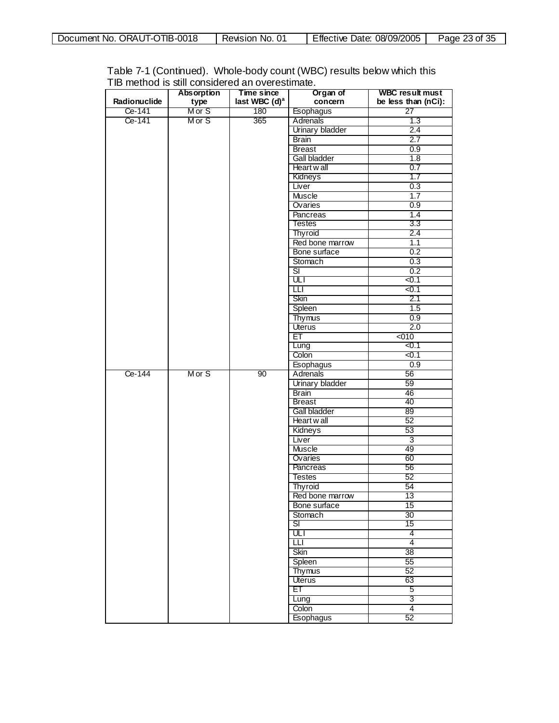| OTIB-0018<br>ORAUT-C<br>Document No.<br>ີ | No.<br>Revision | Effective<br>08/09/2005<br>Date: | f つに<br>Page,<br>23 OF 35 |
|-------------------------------------------|-----------------|----------------------------------|---------------------------|
|                                           |                 |                                  |                           |

| Table 7-1 (Continued). Whole-body count (WBC) results below which this |
|------------------------------------------------------------------------|
| TIB method is still considered an overestimate.                        |

|              | <b>Absorption</b> | Time since                | Organ of                | <b>WBC result must</b> |
|--------------|-------------------|---------------------------|-------------------------|------------------------|
| Radionuclide | type              | last WBC (d) <sup>a</sup> | concern                 | be less than (nCi):    |
| Ce-141       | M or S            | 180                       | Esophagus               | 27                     |
| Ce-141       | M or S            | 365                       | Adrenals                | 1.3                    |
|              |                   |                           | <b>Urinary bladder</b>  | 2.4                    |
|              |                   |                           | <b>Brain</b>            | 2.7                    |
|              |                   |                           | <b>Breast</b>           | 0.9                    |
|              |                   |                           | Gall bladder            | 1.8                    |
|              |                   |                           | Heart wall              | 0.7                    |
|              |                   |                           | Kidneys                 | 1.7                    |
|              |                   |                           | Liver                   | 0.3                    |
|              |                   |                           | Muscle                  | 1.7                    |
|              |                   |                           | Ovaries                 | 0.9                    |
|              |                   |                           | <b>Pancreas</b>         | 1.4                    |
|              |                   |                           | <b>Testes</b>           | 3.3                    |
|              |                   |                           | <b>Thyroid</b>          | 2.4                    |
|              |                   |                           | Red bone marrow         | 1.1                    |
|              |                   |                           | Bone surface            | 0.2                    |
|              |                   |                           | Stomach                 | 0.3                    |
|              |                   |                           | डा                      | $\overline{0.2}$       |
|              |                   |                           | ULI                     | < 0.1                  |
|              |                   |                           | Ш                       | <0.1                   |
|              |                   |                           | Skin                    | 2.1                    |
|              |                   |                           | Spleen                  | 1.5                    |
|              |                   |                           | <b>Thymus</b>           | 0.9                    |
|              |                   |                           | Uterus                  | 2.0                    |
|              |                   |                           | ЕT                      | 5010                   |
|              |                   |                           | Lung                    | 50.1                   |
|              |                   |                           | Colon                   | $0.1$                  |
|              |                   |                           | Esophagus               | 0.9                    |
| Ce-144       | Mor S             | 90                        | <b>Adrenals</b>         | 56                     |
|              |                   |                           | Urinary bladder         | 59                     |
|              |                   |                           | <b>Brain</b>            | 46                     |
|              |                   |                           | <b>Breast</b>           | 40                     |
|              |                   |                           | Gall bladder            | 89                     |
|              |                   |                           | Heart wall              | 52                     |
|              |                   |                           | Kidneys                 | 53                     |
|              |                   |                           | Liver                   | 3                      |
|              |                   |                           | Muscle                  | 49                     |
|              |                   |                           | Ovaries                 | 60                     |
|              |                   |                           | Pancreas                | 56                     |
|              |                   |                           | <b>Testes</b>           | 52                     |
|              |                   |                           | Thyroid                 | 54                     |
|              |                   |                           | Red bone marrow         | 13                     |
|              |                   |                           | Bone surface            | 15                     |
|              |                   |                           | Stomach                 | 30                     |
|              |                   |                           | SI.                     | 15                     |
|              |                   |                           | ULT                     | 4                      |
|              |                   |                           | Ш                       | $\overline{4}$<br>38   |
|              |                   |                           | Skin                    |                        |
|              |                   |                           | Spleen                  | 55                     |
|              |                   |                           | <b>Thymus</b><br>Uterus | 52<br>63               |
|              |                   |                           | ET                      | 5                      |
|              |                   |                           | Lung                    | 3                      |
|              |                   |                           | Colon                   | $\overline{4}$         |
|              |                   |                           | <b>Esophagus</b>        | 52                     |
|              |                   |                           |                         |                        |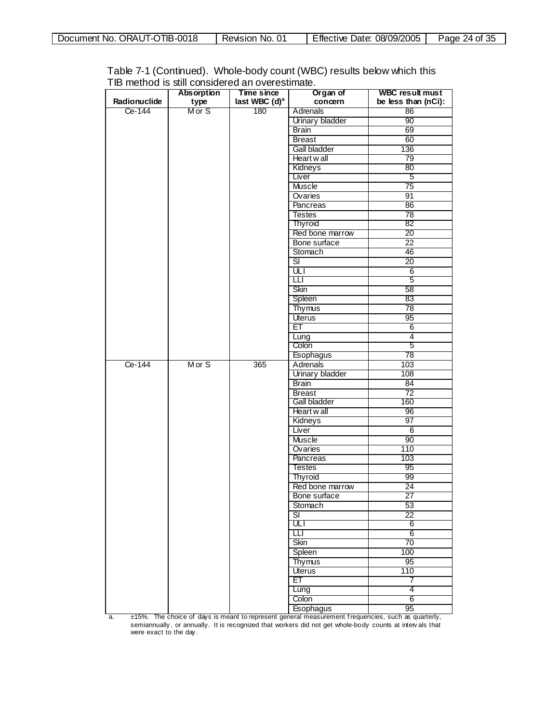| Document No. ORAUT-OTIB-0018 | Revision No. 01 | Effective Date: 08/09/2005 | Page 24 of 35 |
|------------------------------|-----------------|----------------------------|---------------|
|------------------------------|-----------------|----------------------------|---------------|

|              | <b>Absorption</b> | Time since                | Organ of                           | <b>WBC result must</b> |
|--------------|-------------------|---------------------------|------------------------------------|------------------------|
| Radionuclide | type              | last WBC (d) <sup>a</sup> | concern                            | be less than (nCi):    |
| Ce-144       | M or S            | 180                       | Adrenals                           | 86                     |
|              |                   |                           | Urinary bladder                    | 90                     |
|              |                   |                           | <b>Brain</b>                       | 69                     |
|              |                   |                           | <b>Breast</b>                      | 60                     |
|              |                   |                           | Gall bladder                       | 136                    |
|              |                   |                           | Heart wall                         | 79                     |
|              |                   |                           | Kidneys                            | 80                     |
|              |                   |                           | Liver                              | 5                      |
|              |                   |                           | <b>Muscle</b>                      | $\overline{75}$        |
|              |                   |                           | Ovaries                            | 91                     |
|              |                   |                           | Pancreas                           | 86                     |
|              |                   |                           | <b>Testes</b>                      | $\overline{78}$        |
|              |                   |                           | <b>Thyroid</b>                     | 82                     |
|              |                   |                           | Red bone marrow                    | 20                     |
|              |                   |                           |                                    | $\overline{22}$        |
|              |                   |                           | Bone surface                       |                        |
|              |                   |                           | Stomach<br>$\overline{\mathbf{s}}$ | 46<br>$\overline{20}$  |
|              |                   |                           | ULI                                |                        |
|              |                   |                           |                                    | 6                      |
|              |                   |                           | Ш                                  | 5                      |
|              |                   |                           | Skin                               | 58                     |
|              |                   |                           | Spleen                             | 83                     |
|              |                   |                           | Thymus                             | $\overline{78}$        |
|              |                   |                           | Uterus                             | 95                     |
|              |                   |                           | ET                                 | 6                      |
|              |                   |                           | Lung                               | $\overline{4}$         |
|              |                   |                           | Colon                              | 5                      |
|              |                   |                           | Esophagus                          | 78                     |
| Ce-144       | Mor S             | 365                       | Adrenals                           | 103                    |
|              |                   |                           | <b>Urinary bladder</b>             | 108                    |
|              |                   |                           | <b>Brain</b>                       | 84                     |
|              |                   |                           | <b>Breast</b>                      | $\overline{72}$        |
|              |                   |                           | Gall bladder                       | 160                    |
|              |                   |                           | Heart w all                        | 96                     |
|              |                   |                           | Kidneys                            | 97                     |
|              |                   |                           | Liver                              | 6                      |
|              |                   |                           | <b>Muscle</b>                      | 90                     |
|              |                   |                           | Ovaries                            | 110                    |
|              |                   |                           | Pancreas                           | 103                    |
|              |                   |                           | <b>Testes</b>                      | 95                     |
|              |                   |                           | Thyroid                            | 99                     |
|              |                   |                           | Red bone marrow                    | 24                     |
|              |                   |                           | Bone surface                       | 27                     |
|              |                   |                           | Stomach                            | 53                     |
|              |                   |                           | $\overline{\mathsf{SI}}$           | $\overline{22}$        |
|              |                   |                           | ULT                                | 6                      |
|              |                   |                           | Ш                                  | 6                      |
|              |                   |                           | Skin                               | $\overline{70}$        |
|              |                   |                           | Spleen                             | 100                    |
|              |                   |                           | Thymus                             | 95                     |
|              |                   |                           | <b>Uterus</b>                      | 110                    |
|              |                   |                           | ET                                 | 7                      |
|              |                   |                           | Lung                               | 4                      |
|              |                   |                           | Colon                              | 6                      |
|              |                   |                           | Esophagus                          | 95                     |

a. ±15%. The choice of days is meant to represent general measurement f requencies, such as quarterly, semiannually, or annually. It is recognized that workers did not get whole-body counts at intervals that<br>were exact to the day.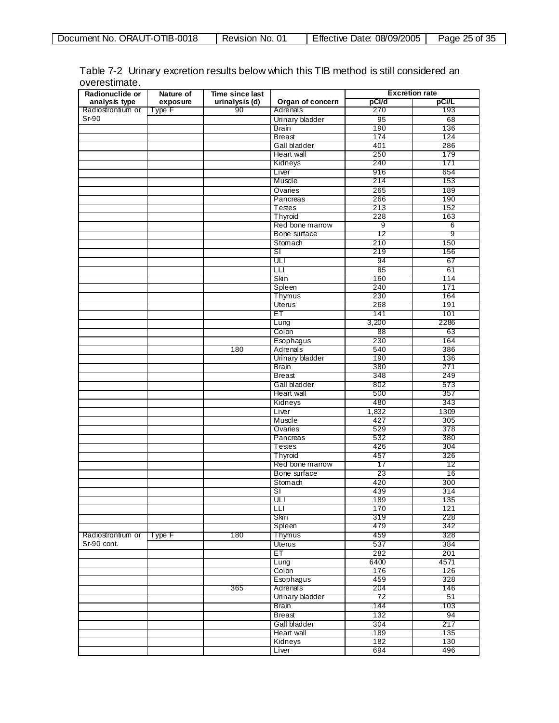| ORAUT-OTIB-0018<br>Document No. | Revision No. | 08/09/2005<br>Date:<br>Effective | f 25<br>ク斥<br>Page<br>of 35<br>دے |
|---------------------------------|--------------|----------------------------------|-----------------------------------|

| Radionuclide or          | Nature of<br>Time since last |                      | <b>Excretion rate</b>   |                |       |
|--------------------------|------------------------------|----------------------|-------------------------|----------------|-------|
| analysis type            | exposure                     | urinalysis (d)<br>90 | Organ of concern        | pCi/d          | pCi/L |
| Radiostrontium or        | Type F                       |                      | Adrenals                | 270            | 193   |
| Sr-90                    |                              |                      | Urinary bladder         | 95             | 68    |
|                          |                              |                      | <b>Brain</b>            | 190            | 136   |
|                          |                              |                      | <b>Breast</b>           | 174            | 124   |
|                          |                              |                      | Gall bladder            | 401            | 286   |
|                          |                              |                      | Heart wall              | 250            | 179   |
|                          |                              |                      | Kidneys                 | 240            | 171   |
|                          |                              |                      | Liver                   | 916            | 654   |
|                          |                              |                      | Muscle                  | 214            | 153   |
|                          |                              |                      | Ovaries                 | 265            | 189   |
|                          |                              |                      | Pancreas                | 266            | 190   |
|                          |                              |                      | Testes                  | 213            | 152   |
|                          |                              |                      | Thyroid                 | 228            | 163   |
|                          |                              |                      | Red bone marrow         | $\overline{9}$ | 6     |
|                          |                              |                      | Bone surface            | 12             | 9     |
|                          |                              |                      | Stomach                 | 210            | 150   |
|                          |                              |                      | डा                      | 219            | 156   |
|                          |                              |                      | ULI                     | 94             | 67    |
|                          |                              |                      | Ш                       | 85             | 61    |
|                          |                              |                      |                         |                |       |
|                          |                              |                      | Skin                    | 160            | 114   |
|                          |                              |                      | Spleen                  | 240            | 171   |
|                          |                              |                      | Thymus                  | 230            | 164   |
|                          |                              |                      | Uterus                  | 268            | 191   |
|                          |                              |                      | EТ                      | 141            | 101   |
|                          |                              |                      | Lung                    | 3,200          | 2286  |
|                          |                              |                      | Colon                   | 88             | 63    |
|                          |                              |                      | Esophagus               | 230            | 164   |
|                          |                              | 180                  | Adrenals                | 540            | 386   |
|                          |                              |                      | Urinary bladder         | 190            | 136   |
|                          |                              |                      | <b>Brain</b>            | 380            | 271   |
|                          |                              |                      | Breast                  | 348            | 249   |
|                          |                              |                      | Gall bladder            | 802            | 573   |
|                          |                              |                      | Heart wall              | 500            | 357   |
|                          |                              |                      | Kidneys                 | 480            | 343   |
|                          |                              |                      | Liver                   | 1,832          | 1309  |
|                          |                              |                      | Muscle                  | 427            | 305   |
|                          |                              |                      | Ovaries                 | 529            | 378   |
|                          |                              |                      | Pancreas                | 532            | 380   |
|                          |                              |                      | Testes                  | 426            | 304   |
|                          |                              |                      | Thyroid                 | 457            | 326   |
|                          |                              |                      | Red bone marrow         |                |       |
|                          |                              |                      |                         | 17             | 12    |
|                          |                              |                      | Bone surface            | 23             | 16    |
|                          |                              |                      | Stomach                 | 420            | 300   |
|                          |                              |                      | $\overline{\mathsf{S}}$ | 439            | 314   |
|                          |                              |                      | ULI                     | 189            | 135   |
|                          |                              |                      | LLI                     | 170            | 121   |
|                          |                              |                      | Skin                    | 319            | 228   |
|                          |                              |                      | Spleen                  | 479            | 342   |
| Radiostrontium or Type F |                              | 180                  | Thymus                  | 459            | 328   |
| Sr-90 cont.              |                              |                      | <b>Uterus</b>           | 537            | 384   |
|                          |                              |                      | ET.                     | 282            | 201   |
|                          |                              |                      | Lung                    | 6400           | 4571  |
|                          |                              |                      | Colon                   | 176            | 126   |
|                          |                              |                      | Esophagus               | 459            | 328   |
|                          |                              | 365                  | Adrenals                | 204            | 146   |
|                          |                              |                      | Urinary bladder         | 72             | 51    |
|                          |                              |                      | <b>Brain</b>            | 144            | 103   |
|                          |                              |                      |                         |                |       |
|                          |                              |                      | <b>Breast</b>           | 132            | 94    |
|                          |                              |                      | Gall bladder            | 304            | 217   |
|                          |                              |                      | Heart wall              | 189            | 135   |
|                          |                              |                      | Kidneys                 | 182            | 130   |
|                          |                              |                      | Liver                   | 694            | 496   |

Table 7-2 Urinary excretion results below which this TIB method is still considered an overestimate.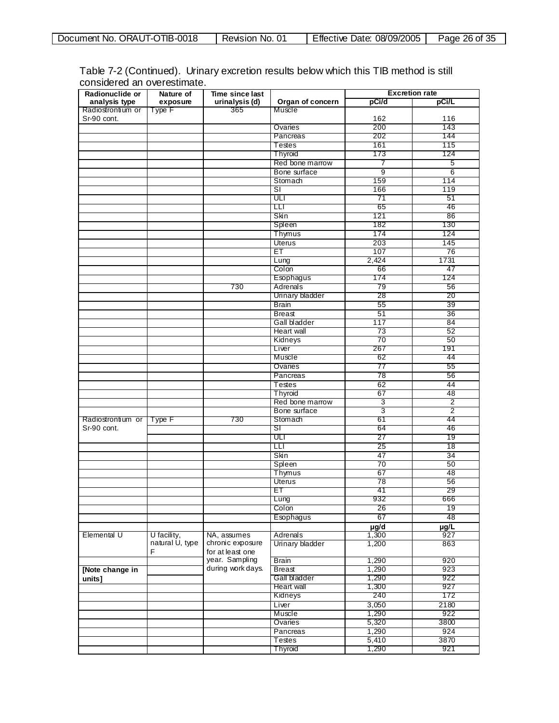| Effective<br>Page<br>01<br>ORAUT-C<br>Date:<br>Document No.<br>No.<br>Revision<br>∠6 of ⊺<br>u.<br>້ | <b>OTIB-0018</b> | 08/09/2005 | イ つに<br>າຂ |
|------------------------------------------------------------------------------------------------------|------------------|------------|------------|

| Table 7-2 (Continued). Urinary excretion results below which this TIB method is still |  |  |
|---------------------------------------------------------------------------------------|--|--|
| considered an overestimate.                                                           |  |  |

| Radionuclide or                  | Nature of             | Time since last                      |                               |           | <b>Excretion rate</b> |
|----------------------------------|-----------------------|--------------------------------------|-------------------------------|-----------|-----------------------|
| analysis type                    | exposure              | urinalysis (d)                       | Organ of concern              | pCi/d     | pCi/L                 |
| Radiostrontium or<br>Sr-90 cont. | Type F                | 365                                  | Muscle                        | 162       | 116                   |
|                                  |                       |                                      | Ovaries                       | 200       | 143                   |
|                                  |                       |                                      | Pancreas                      | 202       | 144                   |
|                                  |                       |                                      | Testes                        | 161       | 115                   |
|                                  |                       |                                      | Thyroid                       | 173       | 124                   |
|                                  |                       |                                      | Red bone marrow               | 7         | 5                     |
|                                  |                       |                                      | Bone surface                  | 9         | 6                     |
|                                  |                       |                                      | Stomach                       | 159       | 114                   |
|                                  |                       |                                      | <b>SI</b>                     | 166       | 119                   |
|                                  |                       |                                      | ULI                           | 71        | 51                    |
|                                  |                       |                                      | TП                            | 65        | 46                    |
|                                  |                       |                                      | Skin                          | 121       | 86                    |
|                                  |                       |                                      | Spleen                        | 182       | 130                   |
|                                  |                       |                                      | Thymus                        | 174       | 124                   |
|                                  |                       |                                      | Uterus                        | 203       | 145                   |
|                                  |                       |                                      | ET                            | 107       | 76                    |
|                                  |                       |                                      | Lung                          | 2,424     | 1731                  |
|                                  |                       |                                      | Colon                         |           | 47                    |
|                                  |                       |                                      | Esophagus                     | 66<br>174 | 124                   |
|                                  |                       | 730                                  | Adrenals                      | 79        | 56                    |
|                                  |                       |                                      | Urinary bladder               | 28        | 20                    |
|                                  |                       |                                      |                               |           |                       |
|                                  |                       |                                      | <b>Brain</b><br><b>Breast</b> | 55        | 39                    |
|                                  |                       |                                      | Gall bladder                  | 51<br>117 | 36<br>84              |
|                                  |                       |                                      |                               |           |                       |
|                                  |                       |                                      | <b>Heart</b> wall             | 73        | 52                    |
|                                  |                       |                                      | Kidneys                       | 70        | 50                    |
|                                  |                       |                                      | Liver                         | 267       | 191                   |
|                                  |                       |                                      | Muscle                        | 62        | 44                    |
|                                  |                       |                                      | Ovaries                       | 77        | 55                    |
|                                  |                       |                                      | Pancreas                      | 78        | 56                    |
|                                  |                       |                                      | Testes                        | 62        | 44                    |
|                                  |                       |                                      | <b>Thyroid</b>                | 67        | 48                    |
|                                  |                       |                                      | Red bone marrow               | 3         | $\overline{2}$        |
|                                  |                       |                                      | Bone surface                  | 3         | 2                     |
| Radiostrontium or                | Type F                | 730                                  | Stomach                       | 61        | 44                    |
| Sr-90 cont.                      |                       |                                      | SГ                            | 64        | 46                    |
|                                  |                       |                                      | णा                            | 27        | 19                    |
|                                  |                       |                                      | <b>LLI</b>                    | 25        | 18                    |
|                                  |                       |                                      | Skin                          | 47        | 34                    |
|                                  |                       |                                      | Spleen                        | 70        | 50                    |
|                                  |                       |                                      | Thymus                        | 67        | 48                    |
|                                  |                       |                                      | Uterus                        | 78        | 56                    |
|                                  |                       |                                      | EТ                            | 41        | 29                    |
|                                  |                       |                                      | Lung                          | 932       | ooo                   |
|                                  |                       |                                      | Colon                         | 26        | 19                    |
|                                  |                       |                                      | Esophagus                     | 67        | 48                    |
|                                  |                       |                                      |                               | µg/d      | µg/L                  |
| Elemental U                      | U facility,           | NA, assumes                          | Adrenals                      | 1,300     | 927                   |
|                                  | natural U, type<br>F. | chronic exposure<br>for at least one | Urinary bladder               | 1,200     | 863                   |
|                                  |                       | year. Sampling                       | <b>Brain</b>                  | 1,290     | 920                   |
| [Note change in                  |                       | during work days.                    | <b>Breast</b>                 | 1,290     | 923                   |
| units]                           |                       |                                      | Gall bladder                  | 1,290     | 922                   |
|                                  |                       |                                      | Heart wall                    | 1,300     | 927                   |
|                                  |                       |                                      | Kidneys                       | 240       | 172                   |
|                                  |                       |                                      | Liver                         | 3,050     | 2180                  |
|                                  |                       |                                      | Muscle                        | 1,290     | 922                   |
|                                  |                       |                                      | Ovaries                       | 5,320     | 3800                  |
|                                  |                       |                                      | Pancreas                      | 1,290     | 924                   |
|                                  |                       |                                      | Testes                        | 5,410     | 3870                  |
|                                  |                       |                                      | Thyroid                       | 1,290     | 921                   |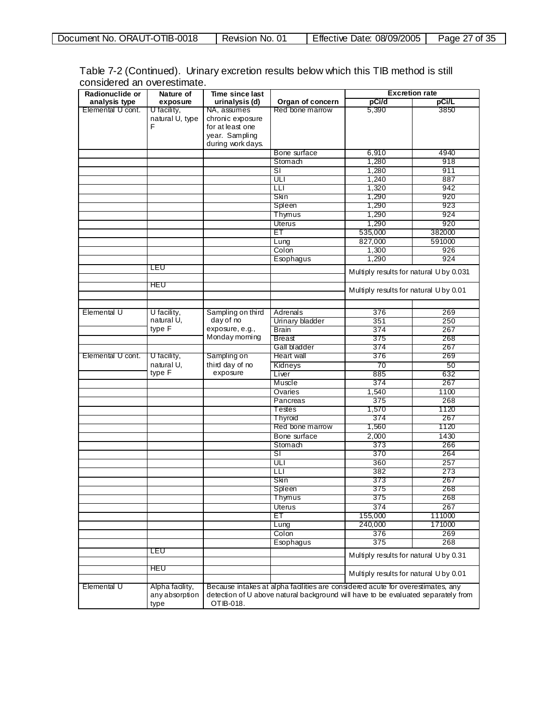| ັບ<br>້ | <b>OTIB-0018</b><br>01<br>ORAUT-C<br>Document No.<br>No.<br>Revision | Effective<br>08/09/2005<br>Date: | f QF<br>$P$ age<br>Οt |
|---------|----------------------------------------------------------------------|----------------------------------|-----------------------|

| Table 7-2 (Continued). Urinary excretion results below which this TIB method is still |  |  |
|---------------------------------------------------------------------------------------|--|--|
| considered an overestimate.                                                           |  |  |

| Radionuclide or   | Nature of                                 | Time since last   |                                                                                                                                                                      | <b>Excretion rate</b>                   |        |
|-------------------|-------------------------------------------|-------------------|----------------------------------------------------------------------------------------------------------------------------------------------------------------------|-----------------------------------------|--------|
| analysis type     | exposure                                  | urinalysis (d)    | Organ of concern                                                                                                                                                     | pCi/d                                   | pCi/L  |
| Elemental U cont. | U facility,                               | NA, assumes       | Red bone marrow                                                                                                                                                      | 5,390                                   | 3850   |
|                   | natural U, type                           | chronic exposure  |                                                                                                                                                                      |                                         |        |
|                   | F                                         | for at least one  |                                                                                                                                                                      |                                         |        |
|                   |                                           | year. Sampling    |                                                                                                                                                                      |                                         |        |
|                   |                                           | during work days. |                                                                                                                                                                      |                                         |        |
|                   |                                           |                   | Bone surface                                                                                                                                                         | 6,910                                   | 4940   |
|                   |                                           |                   | Stomach                                                                                                                                                              | 1,280                                   | 918    |
|                   |                                           |                   | SI                                                                                                                                                                   | 1,280                                   | 911    |
|                   |                                           |                   | ULI                                                                                                                                                                  | 1,240                                   | 887    |
|                   |                                           |                   | LLI                                                                                                                                                                  | 1,320                                   | 942    |
|                   |                                           |                   | Skin                                                                                                                                                                 | 1,290                                   | 920    |
|                   |                                           |                   | Spleen                                                                                                                                                               | 1,290                                   | 923    |
|                   |                                           |                   | Thymus                                                                                                                                                               | 1,290                                   | 924    |
|                   |                                           |                   | Uterus                                                                                                                                                               | 1,290                                   | 920    |
|                   |                                           |                   | ET                                                                                                                                                                   |                                         |        |
|                   |                                           |                   |                                                                                                                                                                      | 535,000                                 | 382000 |
|                   |                                           |                   | Lung                                                                                                                                                                 | 827,000                                 | 591000 |
|                   |                                           |                   | Colon                                                                                                                                                                | 1,300                                   | 926    |
|                   |                                           |                   | Esophagus                                                                                                                                                            | 1,290                                   | 924    |
|                   | LEU                                       |                   |                                                                                                                                                                      | Multiply results for natural U by 0.031 |        |
|                   |                                           |                   |                                                                                                                                                                      |                                         |        |
|                   | HEU                                       |                   |                                                                                                                                                                      | Multiply results for natural U by 0.01  |        |
|                   |                                           |                   |                                                                                                                                                                      |                                         |        |
|                   |                                           |                   |                                                                                                                                                                      |                                         |        |
| Elemental U       | U facility,                               | Sampling on third | Adrenals                                                                                                                                                             | 376                                     | 269    |
|                   | natural U,                                | day of no         | Urinary bladder                                                                                                                                                      | 351                                     | 250    |
|                   | type F                                    | exposure, e.g.,   | <b>Brain</b>                                                                                                                                                         | 374                                     | 267    |
|                   |                                           | Monday morning    | Breast                                                                                                                                                               | 375                                     | 268    |
|                   |                                           |                   | Gall bladder                                                                                                                                                         | 374                                     | 267    |
| Elemental U cont. | U facility,                               | Sampling on       | Heart wall                                                                                                                                                           | 376                                     | 269    |
|                   | natural U,                                | third day of no   | Kidneys                                                                                                                                                              | 70                                      | 50     |
|                   | type F                                    | exposure          | Liver                                                                                                                                                                | 885                                     | 632    |
|                   |                                           |                   | Muscle                                                                                                                                                               | 374                                     | 267    |
|                   |                                           |                   | Ovaries                                                                                                                                                              | 1,540                                   | 1100   |
|                   |                                           |                   | Pancreas                                                                                                                                                             | 375                                     | 268    |
|                   |                                           |                   | Testes                                                                                                                                                               | 1,570                                   | 1120   |
|                   |                                           |                   | <b>Thyroid</b>                                                                                                                                                       | 374                                     | 267    |
|                   |                                           |                   | Red bone marrow                                                                                                                                                      | 1,560                                   | 1120   |
|                   |                                           |                   | Bone surface                                                                                                                                                         | 2,000                                   | 1430   |
|                   |                                           |                   | Stomach                                                                                                                                                              | 373                                     | 266    |
|                   |                                           |                   | sı                                                                                                                                                                   | 370                                     | 264    |
|                   |                                           |                   | ULI                                                                                                                                                                  | 360                                     | 257    |
|                   |                                           |                   | Ш                                                                                                                                                                    | 382                                     | 273    |
|                   |                                           |                   | Skin                                                                                                                                                                 | 373                                     | 267    |
|                   |                                           |                   |                                                                                                                                                                      |                                         |        |
|                   |                                           |                   | Spleen                                                                                                                                                               | 375                                     | 268    |
|                   |                                           |                   | Thymus                                                                                                                                                               | 375                                     | 268    |
|                   |                                           |                   | <b>Uterus</b>                                                                                                                                                        | 374                                     | 267    |
|                   |                                           |                   | ET                                                                                                                                                                   | 155,000                                 | 111000 |
|                   |                                           |                   | Lung                                                                                                                                                                 | 240,000                                 | 171000 |
|                   |                                           |                   | Colon                                                                                                                                                                | 376                                     | 269    |
|                   |                                           |                   | Esophagus                                                                                                                                                            | 375                                     | 268    |
|                   | LEU                                       |                   |                                                                                                                                                                      | Multiply results for natural U by 0.31  |        |
|                   | HEU                                       |                   |                                                                                                                                                                      | Multiply results for natural U by 0.01  |        |
| Elemental U       | Alpha facility,<br>any absorption<br>type | OTIB-018.         | Because intakes at alpha facilities are considered acute for overestimates, any<br>detection of U above natural background will have to be evaluated separately from |                                         |        |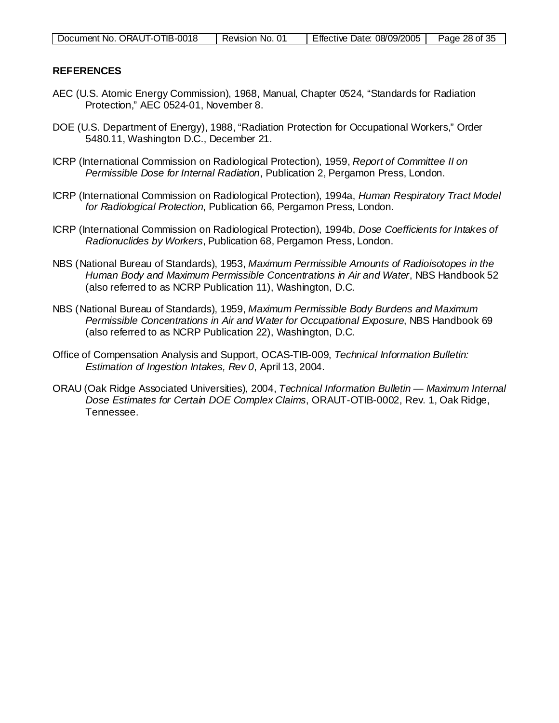| Document No. ORAUT-OTIB-0018 | Revision No. 01 | Effective Date: 08/09/2005 | Page 28 of 35 |
|------------------------------|-----------------|----------------------------|---------------|
|                              |                 |                            |               |

#### **REFERENCES**

- AEC (U.S. Atomic Energy Commission), 1968, Manual, Chapter 0524, "Standards for Radiation Protection," AEC 0524-01, November 8.
- DOE (U.S. Department of Energy), 1988, "Radiation Protection for Occupational Workers," Order 5480.11, Washington D.C., December 21.
- ICRP (International Commission on Radiological Protection), 1959, *Report of Committee II on Permissible Dose for Internal Radiation*, Publication 2, Pergamon Press, London.
- ICRP (International Commission on Radiological Protection), 1994a, *Human Respiratory Tract Model for Radiological Protection*, Publication 66, Pergamon Press, London.
- ICRP (International Commission on Radiological Protection), 1994b, *Dose Coefficients for Intakes of Radionuclides by Workers*, Publication 68, Pergamon Press, London.
- NBS (National Bureau of Standards), 1953, *Maximum Permissible Amounts of Radioisotopes in the Human Body and Maximum Permissible Concentrations in Air and Water*, NBS Handbook 52 (also referred to as NCRP Publication 11), Washington, D.C.
- NBS (National Bureau of Standards), 1959, *Maximum Permissible Body Burdens and Maximum Permissible Concentrations in Air and Water for Occupational Exposure*, NBS Handbook 69 (also referred to as NCRP Publication 22), Washington, D.C.
- Office of Compensation Analysis and Support, OCAS-TIB-009, *Technical Information Bulletin: Estimation of Ingestion Intakes, Rev 0*, April 13, 2004.
- ORAU (Oak Ridge Associated Universities), 2004, *Technical Information Bulletin — Maximum Internal Dose Estimates for Certain DOE Complex Claims*, ORAUT-OTIB-0002, Rev. 1, Oak Ridge, Tennessee.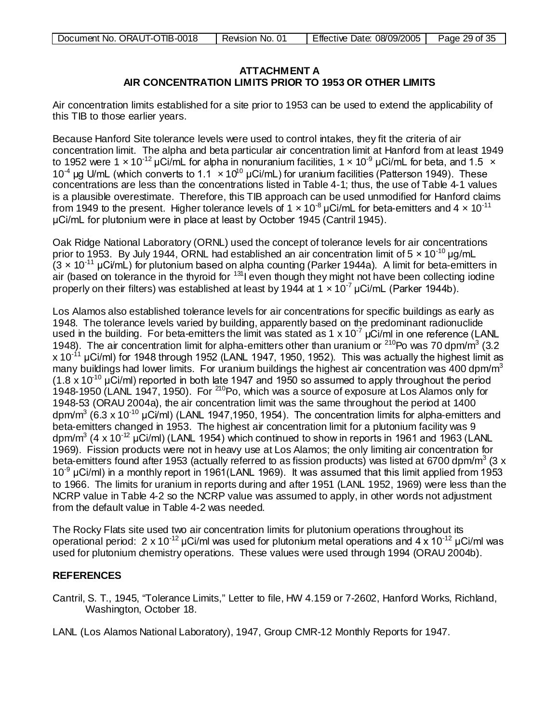| Document No. ORAUT-OTIB-0018 | Revision No. 01 | Effective Date: 08/09/2005 | Page 29 of 35 |
|------------------------------|-----------------|----------------------------|---------------|
|                              |                 |                            |               |

### **ATTACHMENT A AIR CONCENTRATION LIMITS PRIOR TO 1953 OR OTHER LIMITS**

Air concentration limits established for a site prior to 1953 can be used to extend the applicability of this TIB to those earlier years.

Because Hanford Site tolerance levels were used to control intakes, they fit the criteria of air concentration limit. The alpha and beta particular air concentration limit at Hanford from at least 1949 to 1952 were 1 x 10<sup>-12</sup> µCi/mL for alpha in nonuranium facilities, 1 x 10<sup>-9</sup> µCi/mL for beta, and 1.5 x 10<sup>-4</sup> μg U/mL (which converts to 1.1  $\times$  10<sup>10</sup> μCi/mL) for uranium facilities (Patterson 1949). These concentrations are less than the concentrations listed in Table 4-1; thus, the use of Table 4-1 values is a plausible overestimate. Therefore, this TIB approach can be used unmodified for Hanford claims from 1949 to the present. Higher tolerance levels of 1  $\times$  10<sup>-8</sup> µCi/mL for beta-emitters and 4  $\times$  10<sup>-11</sup> μCi/mL for plutonium were in place at least by October 1945 (Cantril 1945).

Oak Ridge National Laboratory (ORNL) used the concept of tolerance levels for air concentrations prior to 1953. By July 1944, ORNL had established an air concentration limit of  $5 \times 10^{-10}$  µg/mL  $(3 \times 10^{-11} \,\mu\text{C/mL})$  for plutonium based on alpha counting (Parker 1944a). A limit for beta-emitters in air (based on tolerance in the thyroid for  $131$  even though they might not have been collecting iodine properly on their filters) was established at least by 1944 at 1  $\times$  10<sup>-7</sup> µCi/mL (Parker 1944b).

Los Alamos also established tolerance levels for air concentrations for specific buildings as early as 1948. The tolerance levels varied by building, apparently based on the predominant radionuclide used in the building. For beta-emitters the limit was stated as 1 x 10<sup>-7</sup> µCi/ml in one reference (LANL 1948). The air concentration limit for alpha-emitters other than uranium or  $^{210}$ Po was 70 dpm/m<sup>3</sup> (3.2)  $x$  10<sup>-11</sup> µCi/ml) for 1948 through 1952 (LANL 1947, 1950, 1952). This was actually the highest limit as many buildings had lower limits. For uranium buildings the highest air concentration was 400 dpm/m<sup>3</sup>  $(1.8 \times 10^{10} \,\mu\text{C}$ i/ml) reported in both late 1947 and 1950 so assumed to apply throughout the period 1948-1950 (LANL 1947, 1950). For <sup>210</sup>Po, which was a source of exposure at Los Alamos only for 1948-53 (ORAU 2004a), the air concentration limit was the same throughout the period at 1400 dpm/m<sup>3</sup> (6.3 x 10<sup>-10</sup> µCi/ml) (LANL 1947,1950, 1954). The concentration limits for alpha-emitters and beta-emitters changed in 1953. The highest air concentration limit for a plutonium facility was 9  $\mu$ dpm/m<sup>3</sup> (4 x 10<sup>-12</sup> µCi/ml) (LANL 1954) which continued to show in reports in 1961 and 1963 (LANL 1969). Fission products were not in heavy use at Los Alamos; the only limiting air concentration for beta-emitters found after 1953 (actually referred to as fission products) was listed at 6700 dpm/m<sup>3</sup> (3 x  $10<sup>-9</sup>$  µCi/ml) in a monthly report in 1961(LANL 1969). It was assumed that this limit applied from 1953 to 1966. The limits for uranium in reports during and after 1951 (LANL 1952, 1969) were less than the NCRP value in Table 4-2 so the NCRP value was assumed to apply, in other words not adjustment from the default value in Table 4-2 was needed.

The Rocky Flats site used two air concentration limits for plutonium operations throughout its operational period:  $2 \times 10^{-12}$  µCi/ml was used for plutonium metal operations and  $4 \times 10^{-12}$  µCi/ml was used for plutonium chemistry operations. These values were used through 1994 (ORAU 2004b).

#### **REFERENCES**

- Cantril, S. T., 1945, "Tolerance Limits," Letter to file, HW 4.159 or 7-2602, Hanford Works, Richland, Washington, October 18.
- LANL (Los Alamos National Laboratory), 1947, Group CMR-12 Monthly Reports for 1947.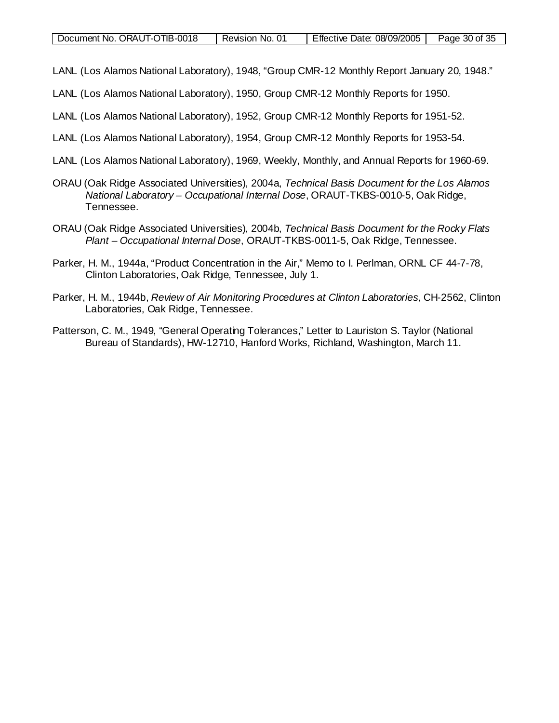- LANL (Los Alamos National Laboratory), 1948, "Group CMR-12 Monthly Report January 20, 1948."
- LANL (Los Alamos National Laboratory), 1950, Group CMR-12 Monthly Reports for 1950.
- LANL (Los Alamos National Laboratory), 1952, Group CMR-12 Monthly Reports for 1951-52.
- LANL (Los Alamos National Laboratory), 1954, Group CMR-12 Monthly Reports for 1953-54.
- LANL (Los Alamos National Laboratory), 1969, Weekly, Monthly, and Annual Reports for 1960-69.
- ORAU (Oak Ridge Associated Universities), 2004a, *Technical Basis Document for the Los Alamos National Laboratory – Occupational Internal Dose*, ORAUT-TKBS-0010-5, Oak Ridge, Tennessee.
- ORAU (Oak Ridge Associated Universities), 2004b, *Technical Basis Document for the Rocky Flats Plant – Occupational Internal Dose*, ORAUT-TKBS-0011-5, Oak Ridge, Tennessee.
- Parker, H. M., 1944a, "Product Concentration in the Air," Memo to I. Perlman, ORNL CF 44-7-78, Clinton Laboratories, Oak Ridge, Tennessee, July 1.
- Parker, H. M., 1944b, *Review of Air Monitoring Procedures at Clinton Laboratories*, CH-2562, Clinton Laboratories, Oak Ridge, Tennessee.
- Patterson, C. M., 1949, "General Operating Tolerances," Letter to Lauriston S. Taylor (National Bureau of Standards), HW-12710, Hanford Works, Richland, Washington, March 11.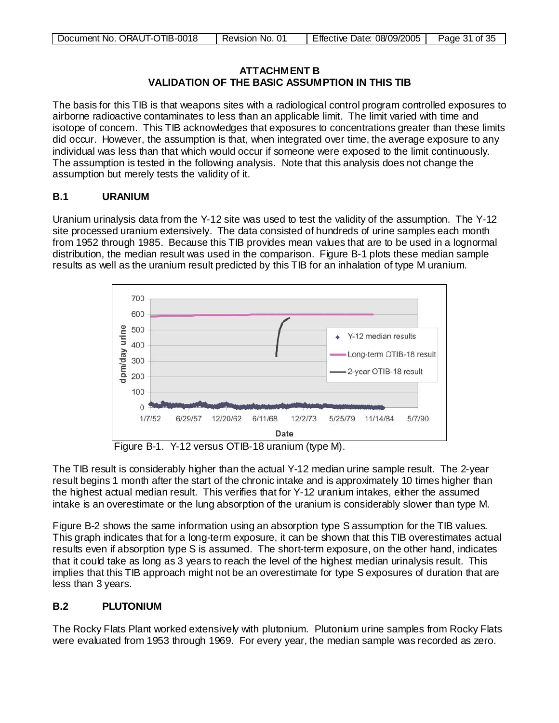| Document No. ORAUT-OTIB-0018 | Revision No. 01 | Effective Date: 08/09/2005 | Page 31 of 35 |
|------------------------------|-----------------|----------------------------|---------------|
|                              |                 |                            |               |

#### **ATTACHMENT B VALIDATION OF THE BASIC ASSUMPTION IN THIS TIB**

The basis for this TIB is that weapons sites with a radiological control program controlled exposures to airborne radioactive contaminates to less than an applicable limit. The limit varied with time and isotope of concern. This TIB acknowledges that exposures to concentrations greater than these limits did occur. However, the assumption is that, when integrated over time, the average exposure to any individual was less than that which would occur if someone were exposed to the limit continuously. The assumption is tested in the following analysis. Note that this analysis does not change the assumption but merely tests the validity of it.

# **B.1 URANIUM**

Uranium urinalysis data from the Y-12 site was used to test the validity of the assumption. The Y-12 site processed uranium extensively. The data consisted of hundreds of urine samples each month from 1952 through 1985. Because this TIB provides mean values that are to be used in a lognormal distribution, the median result was used in the comparison. Figure B-1 plots these median sample results as well as the uranium result predicted by this TIB for an inhalation of type M uranium.



Figure B-1. Y-12 versus OTIB-18 uranium (type M).

The TIB result is considerably higher than the actual Y-12 median urine sample result. The 2-year result begins 1 month after the start of the chronic intake and is approximately 10 times higher than the highest actual median result. This verifies that for Y-12 uranium intakes, either the assumed intake is an overestimate or the lung absorption of the uranium is considerably slower than type M.

Figure B-2 shows the same information using an absorption type S assumption for the TIB values. This graph indicates that for a long-term exposure, it can be shown that this TIB overestimates actual results even if absorption type S is assumed. The short-term exposure, on the other hand, indicates that it could take as long as 3 years to reach the level of the highest median urinalysis result. This implies that this TIB approach might not be an overestimate for type S exposures of duration that are less than 3 years.

# **B.2 PLUTONIUM**

The Rocky Flats Plant worked extensively with plutonium. Plutonium urine samples from Rocky Flats were evaluated from 1953 through 1969. For every year, the median sample was recorded as zero.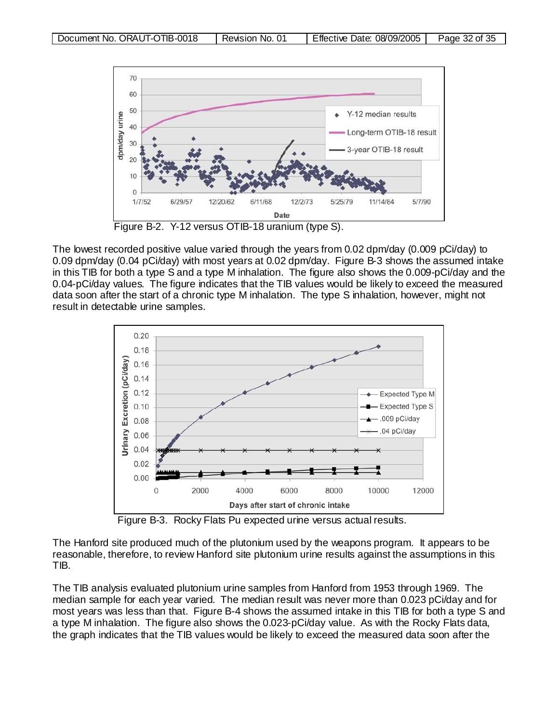

The lowest recorded positive value varied through the years from 0.02 dpm/day (0.009 pCi/day) to 0.09 dpm/day (0.04 pCi/day) with most years at 0.02 dpm/day. Figure B-3 shows the assumed intake in this TIB for both a type S and a type M inhalation. The figure also shows the 0.009-pCi/day and the 0.04-pCi/day values. The figure indicates that the TIB values would be likely to exceed the measured data soon after the start of a chronic type M inhalation. The type S inhalation, however, might not result in detectable urine samples.



Figure B-3. Rocky Flats Pu expected urine versus actual results.

The Hanford site produced much of the plutonium used by the weapons program. It appears to be reasonable, therefore, to review Hanford site plutonium urine results against the assumptions in this TIB.

The TIB analysis evaluated plutonium urine samples from Hanford from 1953 through 1969. The median sample for each year varied. The median result was never more than 0.023 pCi/day and for most years was less than that. Figure B-4 shows the assumed intake in this TIB for both a type S and a type M inhalation. The figure also shows the 0.023-pCi/day value. As with the Rocky Flats data, the graph indicates that the TIB values would be likely to exceed the measured data soon after the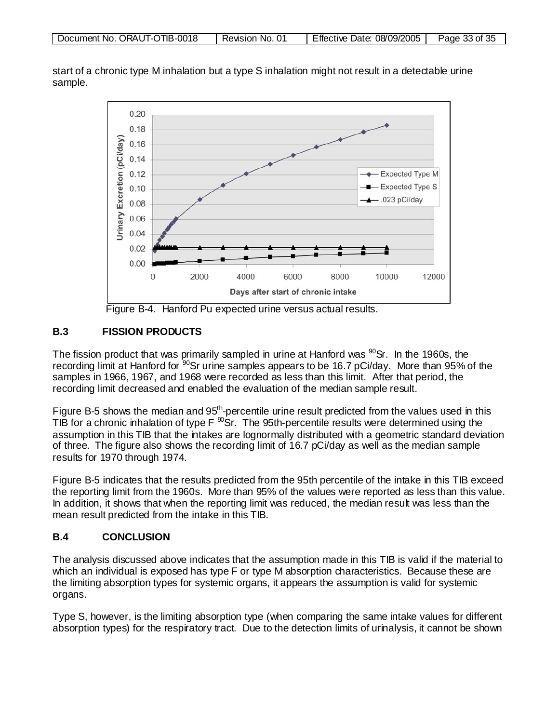| Document No. ORAUT-OTIB-0018 | Revision No. | Effective Date: 08/09/2005 | Page 33 of 35 |
|------------------------------|--------------|----------------------------|---------------|
|------------------------------|--------------|----------------------------|---------------|

start of a chronic type M inhalation but a type S inhalation might not result in a detectable urine sample.



Figure B-4. Hanford Pu expected urine versus actual results.

# **B.3 FISSION PRODUCTS**

The fission product that was primarily sampled in urine at Hanford was  $90$ Sr. In the 1960s, the recording limit at Hanford for <sup>90</sup>Sr urine samples appears to be 16.7 pCi/day. More than 95% of the samples in 1966, 1967, and 1968 were recorded as less than this limit. After that period, the recording limit decreased and enabled the evaluation of the median sample result.

Figure B-5 shows the median and 95<sup>th</sup>-percentile urine result predicted from the values used in this TIB for a chronic inhalation of type  $F \,^{\infty}$ Sr. The 95th-percentile results were determined using the assumption in this TIB that the intakes are lognormally distributed with a geometric standard deviation of three. The figure also shows the recording limit of 16.7 pCi/day as well as the median sample results for 1970 through 1974.

Figure B-5 indicates that the results predicted from the 95th percentile of the intake in this TIB exceed the reporting limit from the 1960s. More than 95% of the values were reported as less than this value. In addition, it shows that when the reporting limit was reduced, the median result was less than the mean result predicted from the intake in this TIB.

#### **B.4 CONCLUSION**

The analysis discussed above indicates that the assumption made in this TIB is valid if the material to which an individual is exposed has type F or type M absorption characteristics. Because these are the limiting absorption types for systemic organs, it appears the assumption is valid for systemic organs.

Type S, however, is the limiting absorption type (when comparing the same intake values for different absorption types) for the respiratory tract. Due to the detection limits of urinalysis, it cannot be shown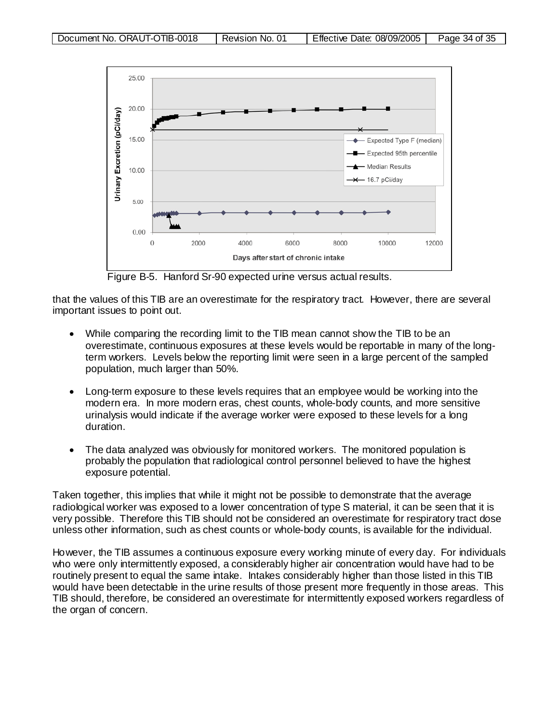

Figure B-5. Hanford Sr-90 expected urine versus actual results.

that the values of this TIB are an overestimate for the respiratory tract. However, there are several important issues to point out.

- While comparing the recording limit to the TIB mean cannot show the TIB to be an overestimate, continuous exposures at these levels would be reportable in many of the longterm workers. Levels below the reporting limit were seen in a large percent of the sampled population, much larger than 50%.
- Long-term exposure to these levels requires that an employee would be working into the modern era. In more modern eras, chest counts, whole-body counts, and more sensitive urinalysis would indicate if the average worker were exposed to these levels for a long duration.
- The data analyzed was obviously for monitored workers. The monitored population is probably the population that radiological control personnel believed to have the highest exposure potential.

Taken together, this implies that while it might not be possible to demonstrate that the average radiological worker was exposed to a lower concentration of type S material, it can be seen that it is very possible. Therefore this TIB should not be considered an overestimate for respiratory tract dose unless other information, such as chest counts or whole-body counts, is available for the individual.

However, the TIB assumes a continuous exposure every working minute of every day. For individuals who were only intermittently exposed, a considerably higher air concentration would have had to be routinely present to equal the same intake. Intakes considerably higher than those listed in this TIB would have been detectable in the urine results of those present more frequently in those areas. This TIB should, therefore, be considered an overestimate for intermittently exposed workers regardless of the organ of concern.